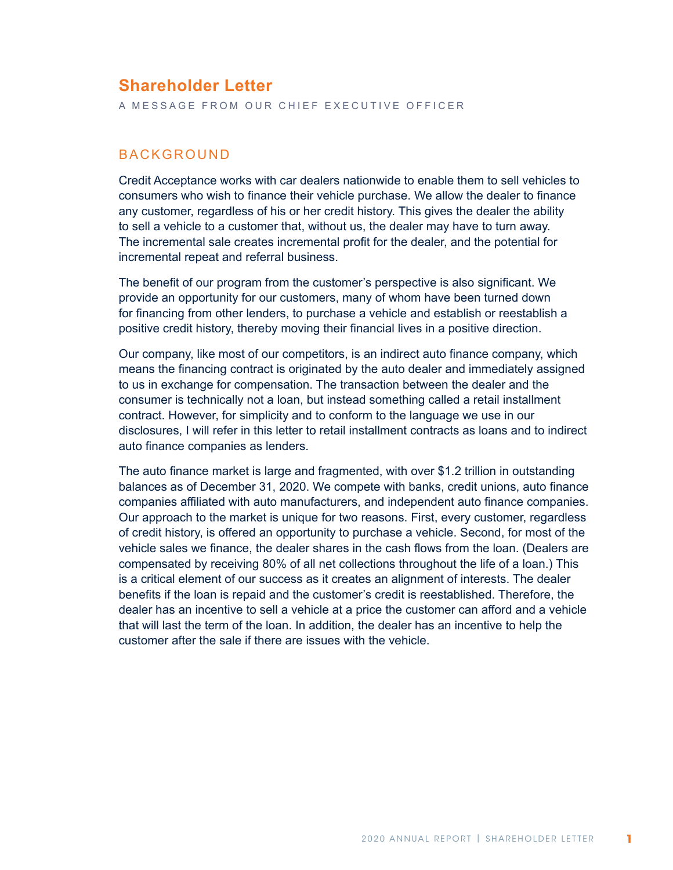# **Shareholder Letter**

A MESSAGE FROM OUR CHIEF EXECUTIVE OFFICER

#### **BACKGROUND**

Credit Acceptance works with car dealers nationwide to enable them to sell vehicles to consumers who wish to finance their vehicle purchase. We allow the dealer to finance any customer, regardless of his or her credit history. This gives the dealer the ability to sell a vehicle to a customer that, without us, the dealer may have to turn away. The incremental sale creates incremental profit for the dealer, and the potential for incremental repeat and referral business.

The benefit of our program from the customer's perspective is also significant. We provide an opportunity for our customers, many of whom have been turned down for financing from other lenders, to purchase a vehicle and establish or reestablish a positive credit history, thereby moving their financial lives in a positive direction.

Our company, like most of our competitors, is an indirect auto finance company, which means the financing contract is originated by the auto dealer and immediately assigned to us in exchange for compensation. The transaction between the dealer and the consumer is technically not a loan, but instead something called a retail installment contract. However, for simplicity and to conform to the language we use in our disclosures, I will refer in this letter to retail installment contracts as loans and to indirect auto finance companies as lenders.

The auto finance market is large and fragmented, with over \$1.2 trillion in outstanding balances as of December 31, 2020. We compete with banks, credit unions, auto finance companies affiliated with auto manufacturers, and independent auto finance companies. Our approach to the market is unique for two reasons. First, every customer, regardless of credit history, is offered an opportunity to purchase a vehicle. Second, for most of the vehicle sales we finance, the dealer shares in the cash flows from the loan. (Dealers are compensated by receiving 80% of all net collections throughout the life of a loan.) This is a critical element of our success as it creates an alignment of interests. The dealer benefits if the loan is repaid and the customer's credit is reestablished. Therefore, the dealer has an incentive to sell a vehicle at a price the customer can afford and a vehicle that will last the term of the loan. In addition, the dealer has an incentive to help the customer after the sale if there are issues with the vehicle.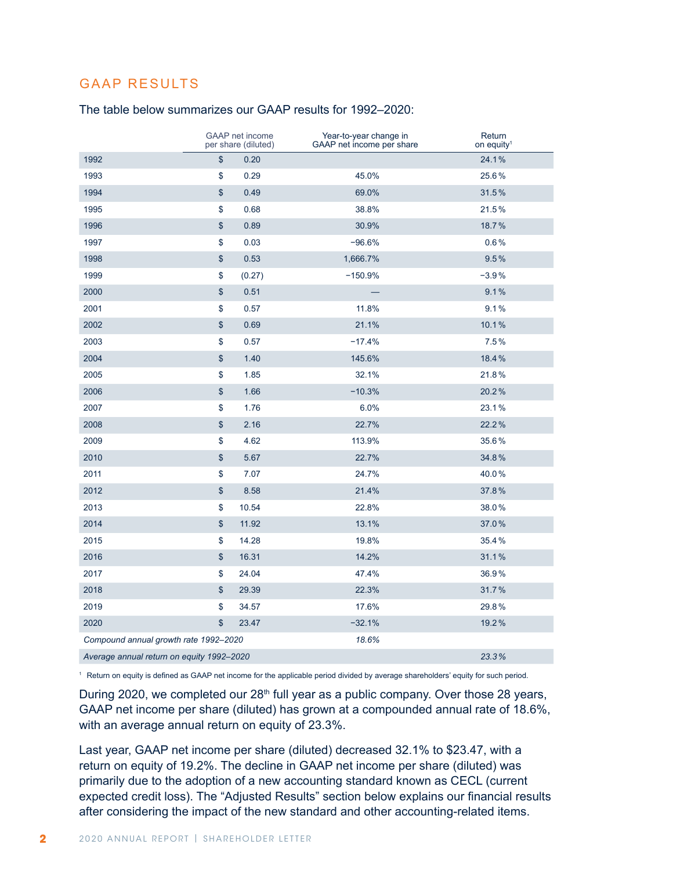## GAAP RESULTS

#### The table below summarizes our GAAP results for 1992–2020:

|                                           | <b>GAAP</b> net income<br>per share (diluted) | Year-to-year change in<br>GAAP net income per share | Return<br>on equity <sup>1</sup> |
|-------------------------------------------|-----------------------------------------------|-----------------------------------------------------|----------------------------------|
| 1992                                      | \$<br>0.20                                    |                                                     | 24.1%                            |
| 1993                                      | \$<br>0.29                                    | 45.0%                                               | 25.6%                            |
| 1994                                      | \$<br>0.49                                    | 69.0%                                               | 31.5%                            |
| 1995                                      | \$<br>0.68                                    | 38.8%                                               | 21.5%                            |
| 1996                                      | \$<br>0.89                                    | 30.9%                                               | 18.7%                            |
| 1997                                      | \$<br>0.03                                    | $-96.6%$                                            | 0.6%                             |
| 1998                                      | \$<br>0.53                                    | 1,666.7%                                            | 9.5%                             |
| 1999                                      | \$<br>(0.27)                                  | $-150.9%$                                           | $-3.9%$                          |
| 2000                                      | \$<br>0.51                                    |                                                     | 9.1%                             |
| 2001                                      | \$<br>0.57                                    | 11.8%                                               | 9.1%                             |
| 2002                                      | \$<br>0.69                                    | 21.1%                                               | 10.1%                            |
| 2003                                      | \$<br>0.57                                    | $-17.4%$                                            | 7.5%                             |
| 2004                                      | \$<br>1.40                                    | 145.6%                                              | 18.4%                            |
| 2005                                      | \$<br>1.85                                    | 32.1%                                               | 21.8%                            |
| 2006                                      | \$<br>1.66                                    | $-10.3%$                                            | 20.2%                            |
| 2007                                      | \$<br>1.76                                    | 6.0%                                                | 23.1%                            |
| 2008                                      | \$<br>2.16                                    | 22.7%                                               | 22.2%                            |
| 2009                                      | \$<br>4.62                                    | 113.9%                                              | 35.6%                            |
| 2010                                      | \$<br>5.67                                    | 22.7%                                               | 34.8%                            |
| 2011                                      | \$<br>7.07                                    | 24.7%                                               | 40.0%                            |
| 2012                                      | \$<br>8.58                                    | 21.4%                                               | 37.8%                            |
| 2013                                      | \$<br>10.54                                   | 22.8%                                               | 38.0%                            |
| 2014                                      | \$<br>11.92                                   | 13.1%                                               | 37.0%                            |
| 2015                                      | \$<br>14.28                                   | 19.8%                                               | 35.4%                            |
| 2016                                      | \$<br>16.31                                   | 14.2%                                               | 31.1%                            |
| 2017                                      | \$<br>24.04                                   | 47.4%                                               | 36.9%                            |
| 2018                                      | \$<br>29.39                                   | 22.3%                                               | 31.7%                            |
| 2019                                      | \$<br>34.57                                   | 17.6%                                               | 29.8%                            |
| 2020                                      | \$<br>23.47                                   | $-32.1%$                                            | 19.2%                            |
| Compound annual growth rate 1992-2020     |                                               | 18.6%                                               |                                  |
| Average annual return on equity 1992-2020 |                                               |                                                     | 23.3%                            |

Return on equity is defined as GAAP net income for the applicable period divided by average shareholders' equity for such period.

During 2020, we completed our 28<sup>th</sup> full year as a public company. Over those 28 years, GAAP net income per share (diluted) has grown at a compounded annual rate of 18.6%, with an average annual return on equity of 23.3%.

Last year, GAAP net income per share (diluted) decreased 32.1% to \$23.47, with a return on equity of 19.2%. The decline in GAAP net income per share (diluted) was primarily due to the adoption of a new accounting standard known as CECL (current expected credit loss). The "Adjusted Results" section below explains our financial results after considering the impact of the new standard and other accounting-related items.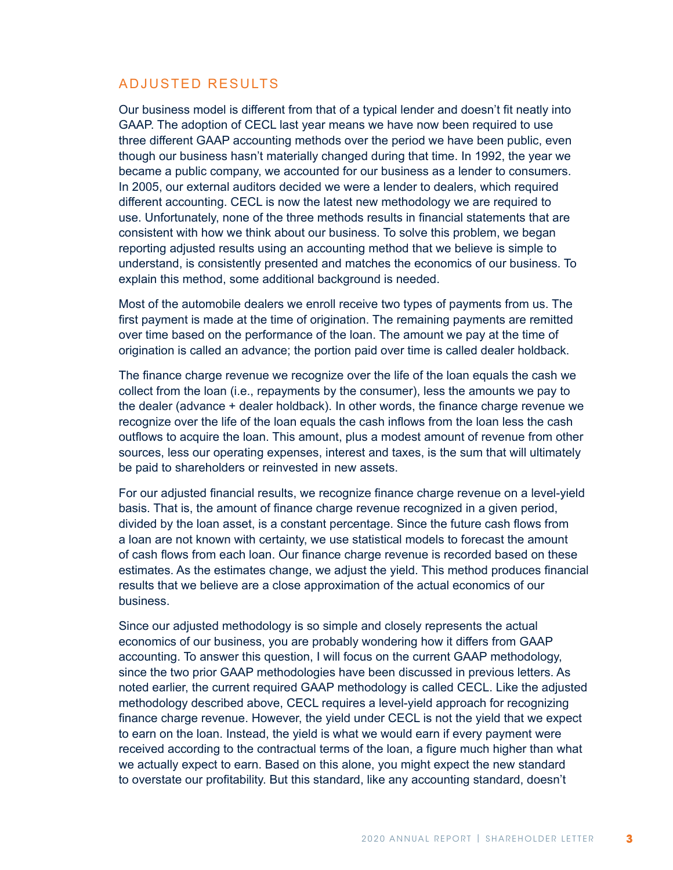### ADJUSTED RESULTS

Our business model is different from that of a typical lender and doesn't fit neatly into GAAP. The adoption of CECL last year means we have now been required to use three different GAAP accounting methods over the period we have been public, even though our business hasn't materially changed during that time. In 1992, the year we became a public company, we accounted for our business as a lender to consumers. In 2005, our external auditors decided we were a lender to dealers, which required different accounting. CECL is now the latest new methodology we are required to use. Unfortunately, none of the three methods results in financial statements that are consistent with how we think about our business. To solve this problem, we began reporting adjusted results using an accounting method that we believe is simple to understand, is consistently presented and matches the economics of our business. To explain this method, some additional background is needed.

Most of the automobile dealers we enroll receive two types of payments from us. The first payment is made at the time of origination. The remaining payments are remitted over time based on the performance of the loan. The amount we pay at the time of origination is called an advance; the portion paid over time is called dealer holdback.

The finance charge revenue we recognize over the life of the loan equals the cash we collect from the loan (i.e., repayments by the consumer), less the amounts we pay to the dealer (advance + dealer holdback). In other words, the finance charge revenue we recognize over the life of the loan equals the cash inflows from the loan less the cash outflows to acquire the loan. This amount, plus a modest amount of revenue from other sources, less our operating expenses, interest and taxes, is the sum that will ultimately be paid to shareholders or reinvested in new assets.

For our adjusted financial results, we recognize finance charge revenue on a level-yield basis. That is, the amount of finance charge revenue recognized in a given period, divided by the loan asset, is a constant percentage. Since the future cash flows from a loan are not known with certainty, we use statistical models to forecast the amount of cash flows from each loan. Our finance charge revenue is recorded based on these estimates. As the estimates change, we adjust the yield. This method produces financial results that we believe are a close approximation of the actual economics of our business.

Since our adjusted methodology is so simple and closely represents the actual economics of our business, you are probably wondering how it differs from GAAP accounting. To answer this question, I will focus on the current GAAP methodology, since the two prior GAAP methodologies have been discussed in previous letters. As noted earlier, the current required GAAP methodology is called CECL. Like the adjusted methodology described above, CECL requires a level-yield approach for recognizing finance charge revenue. However, the yield under CECL is not the yield that we expect to earn on the loan. Instead, the yield is what we would earn if every payment were received according to the contractual terms of the loan, a figure much higher than what we actually expect to earn. Based on this alone, you might expect the new standard to overstate our profitability. But this standard, like any accounting standard, doesn't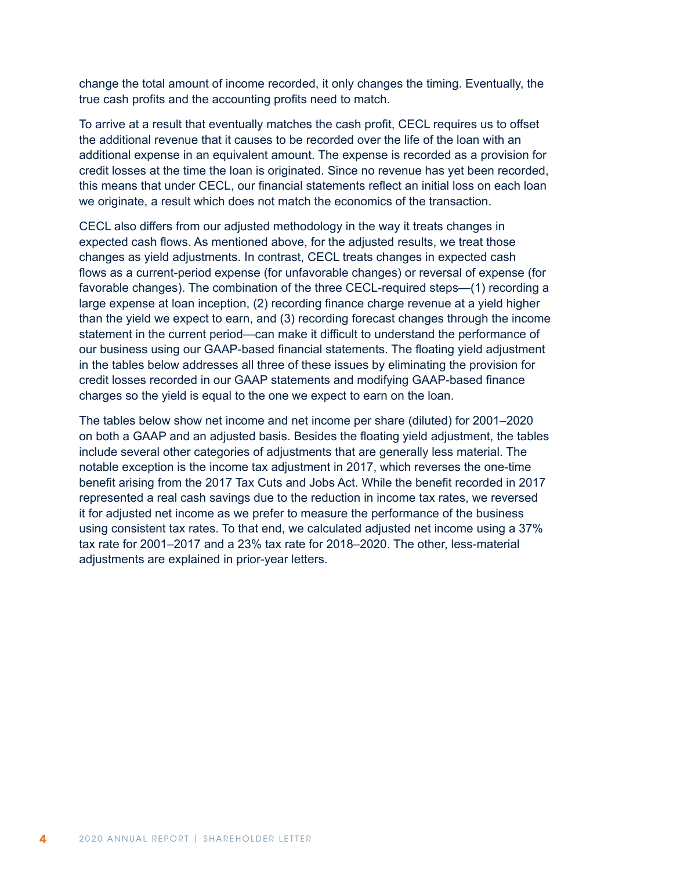change the total amount of income recorded, it only changes the timing. Eventually, the true cash profits and the accounting profits need to match.

To arrive at a result that eventually matches the cash profit, CECL requires us to offset the additional revenue that it causes to be recorded over the life of the loan with an additional expense in an equivalent amount. The expense is recorded as a provision for credit losses at the time the loan is originated. Since no revenue has yet been recorded, this means that under CECL, our financial statements reflect an initial loss on each loan we originate, a result which does not match the economics of the transaction.

CECL also differs from our adjusted methodology in the way it treats changes in expected cash flows. As mentioned above, for the adjusted results, we treat those changes as yield adjustments. In contrast, CECL treats changes in expected cash flows as a current-period expense (for unfavorable changes) or reversal of expense (for favorable changes). The combination of the three CECL-required steps—(1) recording a large expense at loan inception, (2) recording finance charge revenue at a yield higher than the yield we expect to earn, and (3) recording forecast changes through the income statement in the current period—can make it difficult to understand the performance of our business using our GAAP-based financial statements. The floating yield adjustment in the tables below addresses all three of these issues by eliminating the provision for credit losses recorded in our GAAP statements and modifying GAAP-based finance charges so the yield is equal to the one we expect to earn on the loan.

The tables below show net income and net income per share (diluted) for 2001–2020 on both a GAAP and an adjusted basis. Besides the floating yield adjustment, the tables include several other categories of adjustments that are generally less material. The notable exception is the income tax adjustment in 2017, which reverses the one-time benefit arising from the 2017 Tax Cuts and Jobs Act. While the benefit recorded in 2017 represented a real cash savings due to the reduction in income tax rates, we reversed it for adjusted net income as we prefer to measure the performance of the business using consistent tax rates. To that end, we calculated adjusted net income using a 37% tax rate for 2001–2017 and a 23% tax rate for 2018–2020. The other, less-material adjustments are explained in prior-year letters.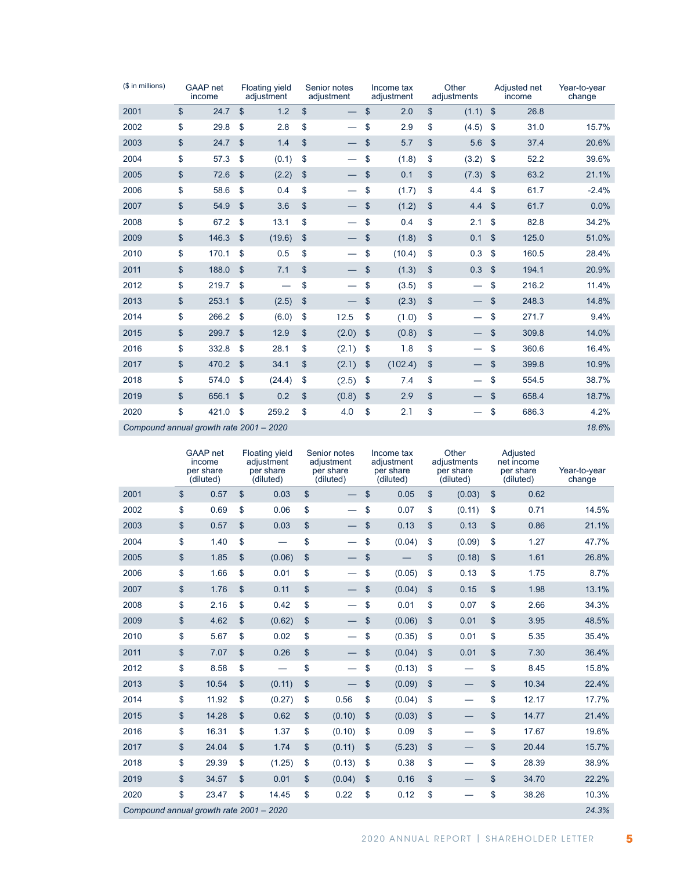| (\$ in millions)                        | <b>GAAP</b> net<br>income |                           | <b>Floating yield</b><br>adjustment | Senior notes<br>adjustment     |                | Income tax<br>adjustment |               | Other<br>adjustments     |               | Adjusted net<br>income | Year-to-year<br>change |
|-----------------------------------------|---------------------------|---------------------------|-------------------------------------|--------------------------------|----------------|--------------------------|---------------|--------------------------|---------------|------------------------|------------------------|
| 2001                                    | \$<br>24.7                | $\mathsf{\$}$             | 1.2                                 | \$<br>$\overline{\phantom{0}}$ | \$             | 2.0                      | \$            | (1.1)                    | $\mathcal{L}$ | 26.8                   |                        |
| 2002                                    | \$<br>29.8                | \$                        | 2.8                                 | \$                             | \$             | 2.9                      | \$            | (4.5)                    | \$            | 31.0                   | 15.7%                  |
| 2003                                    | \$<br>24.7                | $\mathsf{\$}$             | 1.4                                 | \$                             | \$             | 5.7                      | \$            | 5.6                      | $\mathsf{\$}$ | 37.4                   | 20.6%                  |
| 2004                                    | \$<br>57.3                | \$                        | (0.1)                               | \$                             | \$             | (1.8)                    | \$            | (3.2)                    | \$            | 52.2                   | 39.6%                  |
| 2005                                    | \$<br>72.6                | $\mathfrak{S}$            | (2.2)                               | \$                             | \$             | 0.1                      | \$            | (7.3)                    | \$            | 63.2                   | 21.1%                  |
| 2006                                    | \$<br>58.6                | \$                        | 0.4                                 | \$                             | \$             | (1.7)                    | \$            | 4.4                      | \$            | 61.7                   | $-2.4%$                |
| 2007                                    | \$<br>54.9                | $\mathsf{\$}$             | 3.6                                 | \$                             | \$             | (1.2)                    | \$            | 4.4                      | \$            | 61.7                   | 0.0%                   |
| 2008                                    | \$<br>67.2                | \$                        | 13.1                                | \$                             | \$             | 0.4                      | \$            | 2.1                      | \$            | 82.8                   | 34.2%                  |
| 2009                                    | \$<br>146.3               | $\mathfrak{S}$            | (19.6)                              | \$                             | \$             | (1.8)                    | \$            | 0.1                      | \$            | 125.0                  | 51.0%                  |
| 2010                                    | \$<br>170.1               | \$                        | 0.5                                 | \$                             | \$             | (10.4)                   | \$            | 0.3                      | \$            | 160.5                  | 28.4%                  |
| 2011                                    | \$<br>188.0               | $\mathbf{\$}$             | 7.1                                 | \$                             | \$             | (1.3)                    | \$            | 0.3                      | \$            | 194.1                  | 20.9%                  |
| 2012                                    | \$<br>219.7               | \$                        |                                     | \$                             | \$             | (3.5)                    | \$            |                          | \$            | 216.2                  | 11.4%                  |
| 2013                                    | \$<br>253.1               | $\mathsf{\$}$             | (2.5)                               | \$                             | \$             | (2.3)                    | \$            |                          | $\mathbf{\$}$ | 248.3                  | 14.8%                  |
| 2014                                    | \$<br>266.2               | \$                        | (6.0)                               | \$<br>12.5                     | \$             | (1.0)                    | \$            |                          | \$            | 271.7                  | 9.4%                   |
| 2015                                    | \$<br>299.7               | $\boldsymbol{\mathsf{S}}$ | 12.9                                | \$<br>(2.0)                    | $\frac{1}{2}$  | (0.8)                    | \$            | $\overline{\phantom{m}}$ | \$            | 309.8                  | 14.0%                  |
| 2016                                    | \$<br>332.8               | \$                        | 28.1                                | \$<br>(2.1)                    | \$             | 1.8                      | \$            | $\overline{\phantom{0}}$ | \$            | 360.6                  | 16.4%                  |
| 2017                                    | \$<br>470.2               | $\mathsf{\$}$             | 34.1                                | \$<br>(2.1)                    | \$             | (102.4)                  | \$            |                          | \$            | 399.8                  | 10.9%                  |
| 2018                                    | \$<br>574.0               | $\mathfrak{S}$            | (24.4)                              | \$<br>(2.5)                    | \$             | 7.4                      | \$            | $\overline{\phantom{0}}$ | \$            | 554.5                  | 38.7%                  |
| 2019                                    | \$<br>656.1               | $\mathfrak{S}$            | 0.2                                 | \$<br>(0.8)                    | $\mathfrak{s}$ | 2.9                      | $\mathbf{\$}$ |                          | \$            | 658.4                  | 18.7%                  |
| 2020                                    | \$<br>421.0               | \$                        | 259.2                               | \$<br>4.0                      | \$             | 2.1                      | \$            | —                        | \$            | 686.3                  | 4.2%                   |
| Compound annual growth rate 2001 - 2020 |                           |                           |                                     |                                |                |                          |               |                          |               |                        | 18.6%                  |

|                                         |               | GAAP net<br>income<br>per share<br>(diluted) |               | <b>Floating yield</b><br>adjustment<br>per share<br>(diluted) |               | Senior notes<br>adjustment<br>per share<br>(diluted) | Income tax<br>adjustment<br>per share<br>(diluted) |               | Other<br>adjustments<br>per share<br>(diluted) |               | Adjusted<br>net income<br>per share<br>(diluted) | Year-to-year<br>change |
|-----------------------------------------|---------------|----------------------------------------------|---------------|---------------------------------------------------------------|---------------|------------------------------------------------------|----------------------------------------------------|---------------|------------------------------------------------|---------------|--------------------------------------------------|------------------------|
| 2001                                    | $\mathsf{\$}$ | 0.57                                         | $\mathsf{\$}$ | 0.03                                                          | $\mathsf{\$}$ |                                                      | \$<br>0.05                                         | \$            | (0.03)                                         | $\mathsf{\$}$ | 0.62                                             |                        |
| 2002                                    | \$            | 0.69                                         | \$            | 0.06                                                          | \$            |                                                      | \$<br>0.07                                         | \$            | (0.11)                                         | \$            | 0.71                                             | 14.5%                  |
| 2003                                    | \$            | 0.57                                         | \$            | 0.03                                                          | \$            |                                                      | \$<br>0.13                                         | $\mathbf{\$}$ | 0.13                                           | \$            | 0.86                                             | 21.1%                  |
| 2004                                    | \$            | 1.40                                         | \$            |                                                               | \$            |                                                      | \$<br>(0.04)                                       | \$            | (0.09)                                         | \$            | 1.27                                             | 47.7%                  |
| 2005                                    | \$            | 1.85                                         | \$            | (0.06)                                                        | \$            |                                                      | \$                                                 | \$            | (0.18)                                         | \$            | 1.61                                             | 26.8%                  |
| 2006                                    | \$            | 1.66                                         | \$            | 0.01                                                          | \$            |                                                      | \$<br>(0.05)                                       | \$            | 0.13                                           | \$            | 1.75                                             | 8.7%                   |
| 2007                                    | \$            | 1.76                                         | \$            | 0.11                                                          | \$            |                                                      | \$<br>(0.04)                                       | \$            | 0.15                                           | \$            | 1.98                                             | 13.1%                  |
| 2008                                    | \$            | 2.16                                         | \$            | 0.42                                                          | \$            |                                                      | \$<br>0.01                                         | \$            | 0.07                                           | \$            | 2.66                                             | 34.3%                  |
| 2009                                    | \$            | 4.62                                         | \$            | (0.62)                                                        | \$            |                                                      | \$<br>(0.06)                                       | \$            | 0.01                                           | \$            | 3.95                                             | 48.5%                  |
| 2010                                    | \$            | 5.67                                         | \$            | 0.02                                                          | \$            |                                                      | \$<br>(0.35)                                       | \$            | 0.01                                           | \$            | 5.35                                             | 35.4%                  |
| 2011                                    | \$            | 7.07                                         | \$            | 0.26                                                          | \$            |                                                      | \$<br>(0.04)                                       | \$            | 0.01                                           | \$            | 7.30                                             | 36.4%                  |
| 2012                                    | \$            | 8.58                                         | \$            |                                                               | \$            |                                                      | \$<br>(0.13)                                       | \$            | $\overline{\phantom{0}}$                       | \$            | 8.45                                             | 15.8%                  |
| 2013                                    | $\mathsf{\$}$ | 10.54                                        | \$            | (0.11)                                                        | \$            |                                                      | \$<br>(0.09)                                       | \$            |                                                | \$            | 10.34                                            | 22.4%                  |
| 2014                                    | \$            | 11.92                                        | \$            | (0.27)                                                        | \$            | 0.56                                                 | \$<br>(0.04)                                       | \$            | $\overline{\phantom{0}}$                       | \$            | 12.17                                            | 17.7%                  |
| 2015                                    | \$            | 14.28                                        | \$            | 0.62                                                          | $\mathsf{\$}$ | (0.10)                                               | \$<br>(0.03)                                       | \$            |                                                | \$            | 14.77                                            | 21.4%                  |
| 2016                                    | \$            | 16.31                                        | \$            | 1.37                                                          | \$            | (0.10)                                               | \$<br>0.09                                         | \$            |                                                | \$            | 17.67                                            | 19.6%                  |
| 2017                                    | \$            | 24.04                                        | \$            | 1.74                                                          | \$            | (0.11)                                               | \$<br>(5.23)                                       | \$            |                                                | \$            | 20.44                                            | 15.7%                  |
| 2018                                    | \$            | 29.39                                        | \$            | (1.25)                                                        | \$            | (0.13)                                               | \$<br>0.38                                         | \$            |                                                | \$            | 28.39                                            | 38.9%                  |
| 2019                                    | \$            | 34.57                                        | \$            | 0.01                                                          | \$            | (0.04)                                               | \$<br>0.16                                         | $\mathbf{\$}$ |                                                | \$            | 34.70                                            | 22.2%                  |
| 2020                                    | \$            | 23.47                                        | \$            | 14.45                                                         | \$            | 0.22                                                 | \$<br>0.12                                         | \$            |                                                | \$            | 38.26                                            | 10.3%                  |
| Compound annual growth rate 2001 - 2020 |               |                                              |               |                                                               |               |                                                      |                                                    |               |                                                |               |                                                  | 24.3%                  |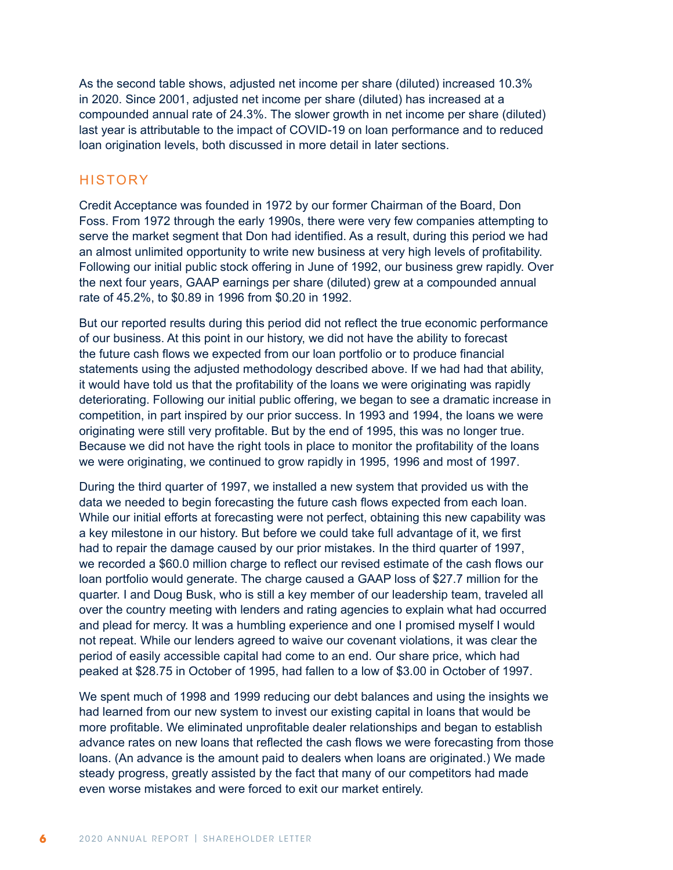As the second table shows, adjusted net income per share (diluted) increased 10.3% in 2020. Since 2001, adjusted net income per share (diluted) has increased at a compounded annual rate of 24.3%. The slower growth in net income per share (diluted) last year is attributable to the impact of COVID-19 on loan performance and to reduced loan origination levels, both discussed in more detail in later sections.

#### **HISTORY**

Credit Acceptance was founded in 1972 by our former Chairman of the Board, Don Foss. From 1972 through the early 1990s, there were very few companies attempting to serve the market segment that Don had identified. As a result, during this period we had an almost unlimited opportunity to write new business at very high levels of profitability. Following our initial public stock offering in June of 1992, our business grew rapidly. Over the next four years, GAAP earnings per share (diluted) grew at a compounded annual rate of 45.2%, to \$0.89 in 1996 from \$0.20 in 1992.

But our reported results during this period did not reflect the true economic performance of our business. At this point in our history, we did not have the ability to forecast the future cash flows we expected from our loan portfolio or to produce financial statements using the adjusted methodology described above. If we had had that ability, it would have told us that the profitability of the loans we were originating was rapidly deteriorating. Following our initial public offering, we began to see a dramatic increase in competition, in part inspired by our prior success. In 1993 and 1994, the loans we were originating were still very profitable. But by the end of 1995, this was no longer true. Because we did not have the right tools in place to monitor the profitability of the loans we were originating, we continued to grow rapidly in 1995, 1996 and most of 1997.

During the third quarter of 1997, we installed a new system that provided us with the data we needed to begin forecasting the future cash flows expected from each loan. While our initial efforts at forecasting were not perfect, obtaining this new capability was a key milestone in our history. But before we could take full advantage of it, we first had to repair the damage caused by our prior mistakes. In the third quarter of 1997, we recorded a \$60.0 million charge to reflect our revised estimate of the cash flows our loan portfolio would generate. The charge caused a GAAP loss of \$27.7 million for the quarter. I and Doug Busk, who is still a key member of our leadership team, traveled all over the country meeting with lenders and rating agencies to explain what had occurred and plead for mercy. It was a humbling experience and one I promised myself I would not repeat. While our lenders agreed to waive our covenant violations, it was clear the period of easily accessible capital had come to an end. Our share price, which had peaked at \$28.75 in October of 1995, had fallen to a low of \$3.00 in October of 1997.

We spent much of 1998 and 1999 reducing our debt balances and using the insights we had learned from our new system to invest our existing capital in loans that would be more profitable. We eliminated unprofitable dealer relationships and began to establish advance rates on new loans that reflected the cash flows we were forecasting from those loans. (An advance is the amount paid to dealers when loans are originated.) We made steady progress, greatly assisted by the fact that many of our competitors had made even worse mistakes and were forced to exit our market entirely.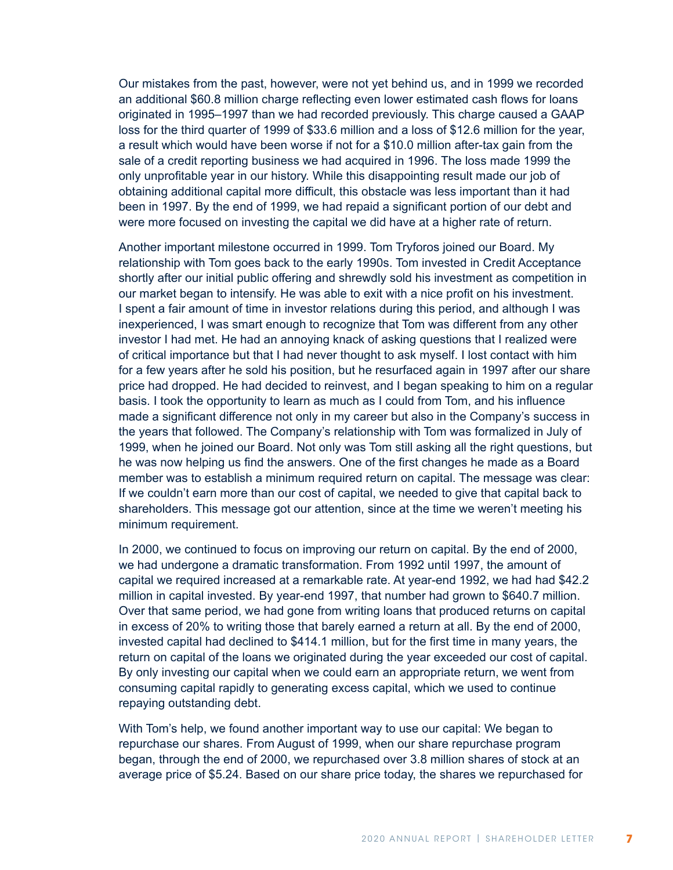Our mistakes from the past, however, were not yet behind us, and in 1999 we recorded an additional \$60.8 million charge reflecting even lower estimated cash flows for loans originated in 1995–1997 than we had recorded previously. This charge caused a GAAP loss for the third quarter of 1999 of \$33.6 million and a loss of \$12.6 million for the year, a result which would have been worse if not for a \$10.0 million after-tax gain from the sale of a credit reporting business we had acquired in 1996. The loss made 1999 the only unprofitable year in our history. While this disappointing result made our job of obtaining additional capital more difficult, this obstacle was less important than it had been in 1997. By the end of 1999, we had repaid a significant portion of our debt and were more focused on investing the capital we did have at a higher rate of return.

Another important milestone occurred in 1999. Tom Tryforos joined our Board. My relationship with Tom goes back to the early 1990s. Tom invested in Credit Acceptance shortly after our initial public offering and shrewdly sold his investment as competition in our market began to intensify. He was able to exit with a nice profit on his investment. I spent a fair amount of time in investor relations during this period, and although I was inexperienced, I was smart enough to recognize that Tom was different from any other investor I had met. He had an annoying knack of asking questions that I realized were of critical importance but that I had never thought to ask myself. I lost contact with him for a few years after he sold his position, but he resurfaced again in 1997 after our share price had dropped. He had decided to reinvest, and I began speaking to him on a regular basis. I took the opportunity to learn as much as I could from Tom, and his influence made a significant difference not only in my career but also in the Company's success in the years that followed. The Company's relationship with Tom was formalized in July of 1999, when he joined our Board. Not only was Tom still asking all the right questions, but he was now helping us find the answers. One of the first changes he made as a Board member was to establish a minimum required return on capital. The message was clear: If we couldn't earn more than our cost of capital, we needed to give that capital back to shareholders. This message got our attention, since at the time we weren't meeting his minimum requirement.

In 2000, we continued to focus on improving our return on capital. By the end of 2000, we had undergone a dramatic transformation. From 1992 until 1997, the amount of capital we required increased at a remarkable rate. At year-end 1992, we had had \$42.2 million in capital invested. By year-end 1997, that number had grown to \$640.7 million. Over that same period, we had gone from writing loans that produced returns on capital in excess of 20% to writing those that barely earned a return at all. By the end of 2000, invested capital had declined to \$414.1 million, but for the first time in many years, the return on capital of the loans we originated during the year exceeded our cost of capital. By only investing our capital when we could earn an appropriate return, we went from consuming capital rapidly to generating excess capital, which we used to continue repaying outstanding debt.

With Tom's help, we found another important way to use our capital: We began to repurchase our shares. From August of 1999, when our share repurchase program began, through the end of 2000, we repurchased over 3.8 million shares of stock at an average price of \$5.24. Based on our share price today, the shares we repurchased for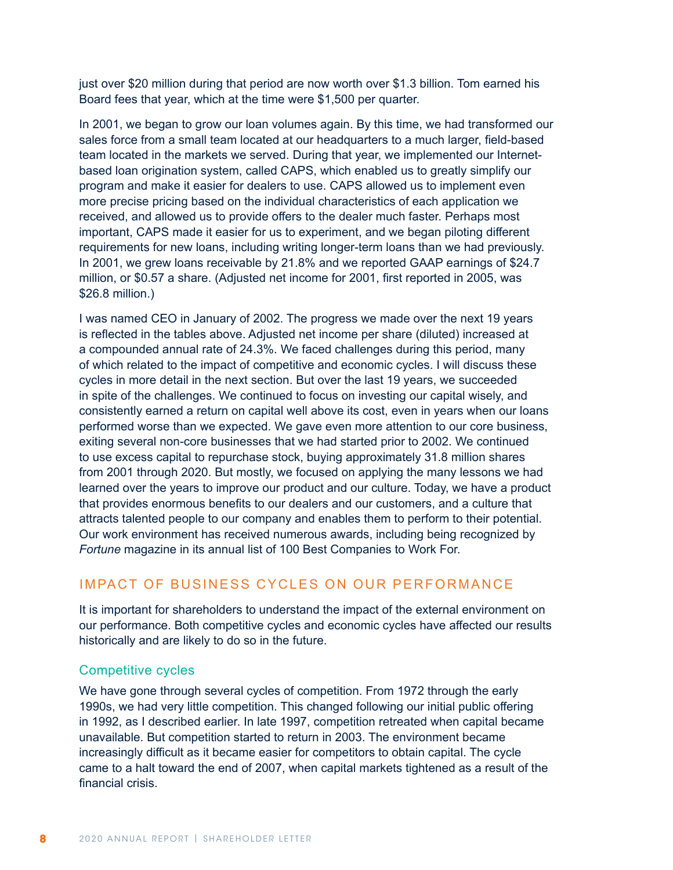just over \$20 million during that period are now worth over \$1.3 billion. Tom earned his Board fees that year, which at the time were \$1,500 per quarter.

In 2001, we began to grow our loan volumes again. By this time, we had transformed our sales force from a small team located at our headquarters to a much larger, field-based team located in the markets we served. During that year, we implemented our Internetbased loan origination system, called CAPS, which enabled us to greatly simplify our program and make it easier for dealers to use. CAPS allowed us to implement even more precise pricing based on the individual characteristics of each application we received, and allowed us to provide offers to the dealer much faster. Perhaps most important, CAPS made it easier for us to experiment, and we began piloting different requirements for new loans, including writing longer-term loans than we had previously. In 2001, we grew loans receivable by 21.8% and we reported GAAP earnings of \$24.7 million, or \$0.57 a share. (Adjusted net income for 2001, first reported in 2005, was \$26.8 million.)

I was named CEO in January of 2002. The progress we made over the next 19 years is reflected in the tables above. Adjusted net income per share (diluted) increased at a compounded annual rate of 24.3%. We faced challenges during this period, many of which related to the impact of competitive and economic cycles. I will discuss these cycles in more detail in the next section. But over the last 19 years, we succeeded in spite of the challenges. We continued to focus on investing our capital wisely, and consistently earned a return on capital well above its cost, even in years when our loans performed worse than we expected. We gave even more attention to our core business, exiting several non-core businesses that we had started prior to 2002. We continued to use excess capital to repurchase stock, buying approximately 31.8 million shares from 2001 through 2020. But mostly, we focused on applying the many lessons we had learned over the years to improve our product and our culture. Today, we have a product that provides enormous benefits to our dealers and our customers, and a culture that attracts talented people to our company and enables them to perform to their potential. Our work environment has received numerous awards, including being recognized by *Fortune* magazine in its annual list of 100 Best Companies to Work For.

## IMPACT OF BUSINESS CYCLES ON OUR PERFORMANCE

It is important for shareholders to understand the impact of the external environment on our performance. Both competitive cycles and economic cycles have affected our results historically and are likely to do so in the future.

#### Competitive cycles

We have gone through several cycles of competition. From 1972 through the early 1990s, we had very little competition. This changed following our initial public offering in 1992, as I described earlier. In late 1997, competition retreated when capital became unavailable. But competition started to return in 2003. The environment became increasingly difficult as it became easier for competitors to obtain capital. The cycle came to a halt toward the end of 2007, when capital markets tightened as a result of the financial crisis.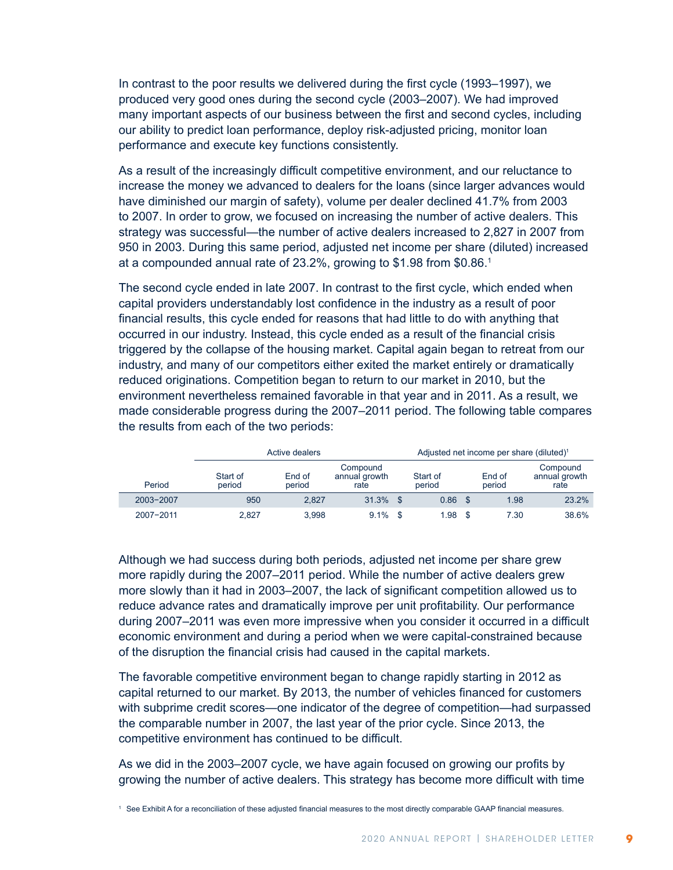In contrast to the poor results we delivered during the first cycle (1993–1997), we produced very good ones during the second cycle (2003–2007). We had improved many important aspects of our business between the first and second cycles, including our ability to predict loan performance, deploy risk-adjusted pricing, monitor loan performance and execute key functions consistently.

As a result of the increasingly difficult competitive environment, and our reluctance to increase the money we advanced to dealers for the loans (since larger advances would have diminished our margin of safety), volume per dealer declined 41.7% from 2003 to 2007. In order to grow, we focused on increasing the number of active dealers. This strategy was successful—the number of active dealers increased to 2,827 in 2007 from 950 in 2003. During this same period, adjusted net income per share (diluted) increased at a compounded annual rate of 23.2%, growing to \$1.98 from \$0.86.1

The second cycle ended in late 2007. In contrast to the first cycle, which ended when capital providers understandably lost confidence in the industry as a result of poor financial results, this cycle ended for reasons that had little to do with anything that occurred in our industry. Instead, this cycle ended as a result of the financial crisis triggered by the collapse of the housing market. Capital again began to retreat from our industry, and many of our competitors either exited the market entirely or dramatically reduced originations. Competition began to return to our market in 2010, but the environment nevertheless remained favorable in that year and in 2011. As a result, we made considerable progress during the 2007–2011 period. The following table compares the results from each of the two periods:

|           | Active dealers     | Adjusted net income per share (diluted) <sup>1</sup> |                                   |                    |          |                  |                                   |
|-----------|--------------------|------------------------------------------------------|-----------------------------------|--------------------|----------|------------------|-----------------------------------|
| Period    | Start of<br>period | End of<br>period                                     | Compound<br>annual growth<br>rate | Start of<br>period |          | End of<br>period | Compound<br>annual growth<br>rate |
| 2003-2007 | 950                | 2.827                                                | 31.3%                             | 0.86               | <b>S</b> | 1.98             | 23.2%                             |
| 2007-2011 | 2.827              | 3.998                                                | 9.1%                              | 1.98               | ୍ଥ       | 7.30             | 38.6%                             |

Although we had success during both periods, adjusted net income per share grew more rapidly during the 2007–2011 period. While the number of active dealers grew more slowly than it had in 2003–2007, the lack of significant competition allowed us to reduce advance rates and dramatically improve per unit profitability. Our performance during 2007–2011 was even more impressive when you consider it occurred in a difficult economic environment and during a period when we were capital-constrained because of the disruption the financial crisis had caused in the capital markets.

The favorable competitive environment began to change rapidly starting in 2012 as capital returned to our market. By 2013, the number of vehicles financed for customers with subprime credit scores—one indicator of the degree of competition—had surpassed the comparable number in 2007, the last year of the prior cycle. Since 2013, the competitive environment has continued to be difficult.

As we did in the 2003–2007 cycle, we have again focused on growing our profits by growing the number of active dealers. This strategy has become more difficult with time

<sup>1</sup> See Exhibit A for a reconciliation of these adjusted financial measures to the most directly comparable GAAP financial measures.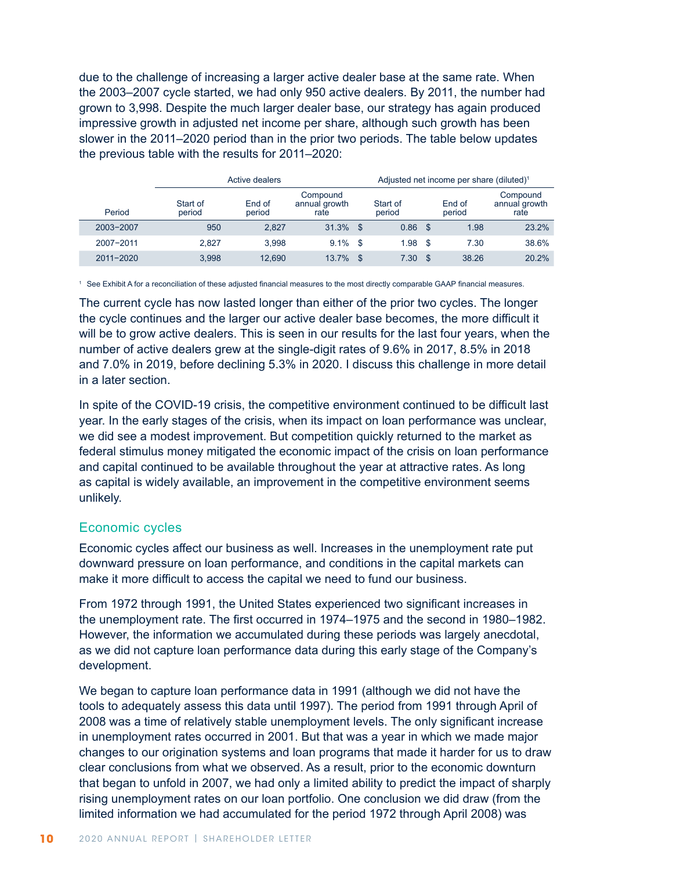due to the challenge of increasing a larger active dealer base at the same rate. When the 2003–2007 cycle started, we had only 950 active dealers. By 2011, the number had grown to 3,998. Despite the much larger dealer base, our strategy has again produced impressive growth in adjusted net income per share, although such growth has been slower in the 2011–2020 period than in the prior two periods. The table below updates the previous table with the results for 2011–2020:

|               | Active dealers     | Adjusted net income per share (diluted) <sup>1</sup> |                                   |    |                    |     |                  |                                   |
|---------------|--------------------|------------------------------------------------------|-----------------------------------|----|--------------------|-----|------------------|-----------------------------------|
| Period        | Start of<br>period | End of<br>period                                     | Compound<br>annual growth<br>rate |    | Start of<br>period |     | End of<br>period | Compound<br>annual growth<br>rate |
| 2003-2007     | 950                | 2.827                                                | $31.3\%$ \$                       |    | $0.86$ \$          |     | 1.98             | 23.2%                             |
| 2007-2011     | 2.827              | 3.998                                                | $9.1\%$ \$                        |    | 1.98               | -S  | 7.30             | 38.6%                             |
| $2011 - 2020$ | 3.998              | 12.690                                               | 13.7%                             | \$ | 7.30               | \$. | 38.26            | 20.2%                             |

<sup>1</sup> See Exhibit A for a reconciliation of these adjusted financial measures to the most directly comparable GAAP financial measures.

The current cycle has now lasted longer than either of the prior two cycles. The longer the cycle continues and the larger our active dealer base becomes, the more difficult it will be to grow active dealers. This is seen in our results for the last four years, when the number of active dealers grew at the single-digit rates of 9.6% in 2017, 8.5% in 2018 and 7.0% in 2019, before declining 5.3% in 2020. I discuss this challenge in more detail in a later section.

In spite of the COVID-19 crisis, the competitive environment continued to be difficult last year. In the early stages of the crisis, when its impact on loan performance was unclear, we did see a modest improvement. But competition quickly returned to the market as federal stimulus money mitigated the economic impact of the crisis on loan performance and capital continued to be available throughout the year at attractive rates. As long as capital is widely available, an improvement in the competitive environment seems unlikely.

#### Economic cycles

Economic cycles affect our business as well. Increases in the unemployment rate put downward pressure on loan performance, and conditions in the capital markets can make it more difficult to access the capital we need to fund our business.

From 1972 through 1991, the United States experienced two significant increases in the unemployment rate. The first occurred in 1974–1975 and the second in 1980–1982. However, the information we accumulated during these periods was largely anecdotal, as we did not capture loan performance data during this early stage of the Company's development.

We began to capture loan performance data in 1991 (although we did not have the tools to adequately assess this data until 1997). The period from 1991 through April of 2008 was a time of relatively stable unemployment levels. The only significant increase in unemployment rates occurred in 2001. But that was a year in which we made major changes to our origination systems and loan programs that made it harder for us to draw clear conclusions from what we observed. As a result, prior to the economic downturn that began to unfold in 2007, we had only a limited ability to predict the impact of sharply rising unemployment rates on our loan portfolio. One conclusion we did draw (from the limited information we had accumulated for the period 1972 through April 2008) was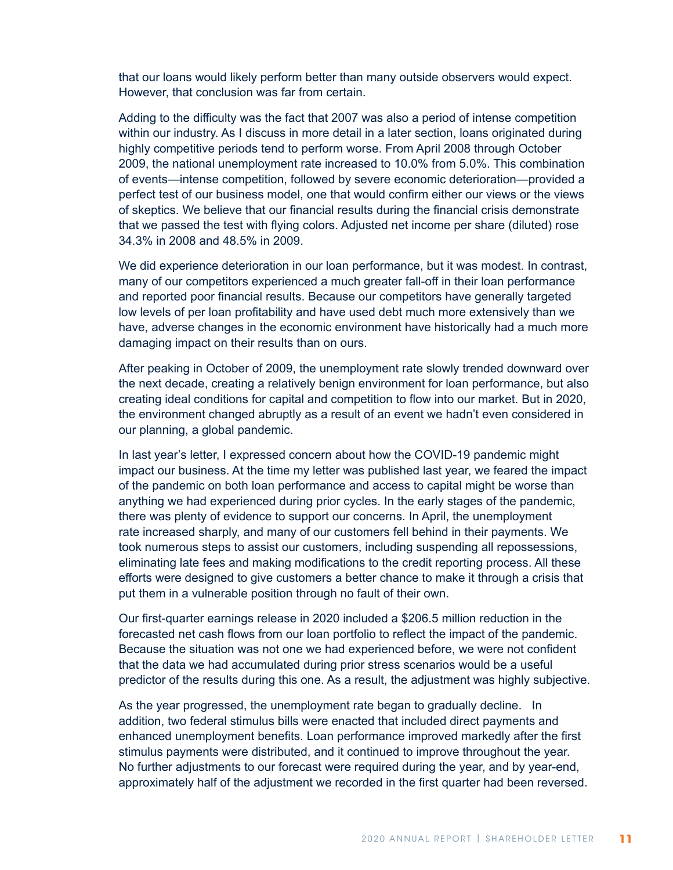that our loans would likely perform better than many outside observers would expect. However, that conclusion was far from certain.

Adding to the difficulty was the fact that 2007 was also a period of intense competition within our industry. As I discuss in more detail in a later section, loans originated during highly competitive periods tend to perform worse. From April 2008 through October 2009, the national unemployment rate increased to 10.0% from 5.0%. This combination of events—intense competition, followed by severe economic deterioration—provided a perfect test of our business model, one that would confirm either our views or the views of skeptics. We believe that our financial results during the financial crisis demonstrate that we passed the test with flying colors. Adjusted net income per share (diluted) rose 34.3% in 2008 and 48.5% in 2009.

We did experience deterioration in our loan performance, but it was modest. In contrast, many of our competitors experienced a much greater fall-off in their loan performance and reported poor financial results. Because our competitors have generally targeted low levels of per loan profitability and have used debt much more extensively than we have, adverse changes in the economic environment have historically had a much more damaging impact on their results than on ours.

After peaking in October of 2009, the unemployment rate slowly trended downward over the next decade, creating a relatively benign environment for loan performance, but also creating ideal conditions for capital and competition to flow into our market. But in 2020, the environment changed abruptly as a result of an event we hadn't even considered in our planning, a global pandemic.

In last year's letter, I expressed concern about how the COVID-19 pandemic might impact our business. At the time my letter was published last year, we feared the impact of the pandemic on both loan performance and access to capital might be worse than anything we had experienced during prior cycles. In the early stages of the pandemic, there was plenty of evidence to support our concerns. In April, the unemployment rate increased sharply, and many of our customers fell behind in their payments. We took numerous steps to assist our customers, including suspending all repossessions, eliminating late fees and making modifications to the credit reporting process. All these efforts were designed to give customers a better chance to make it through a crisis that put them in a vulnerable position through no fault of their own.

Our first-quarter earnings release in 2020 included a \$206.5 million reduction in the forecasted net cash flows from our loan portfolio to reflect the impact of the pandemic. Because the situation was not one we had experienced before, we were not confident that the data we had accumulated during prior stress scenarios would be a useful predictor of the results during this one. As a result, the adjustment was highly subjective.

As the year progressed, the unemployment rate began to gradually decline. In addition, two federal stimulus bills were enacted that included direct payments and enhanced unemployment benefits. Loan performance improved markedly after the first stimulus payments were distributed, and it continued to improve throughout the year. No further adjustments to our forecast were required during the year, and by year-end, approximately half of the adjustment we recorded in the first quarter had been reversed.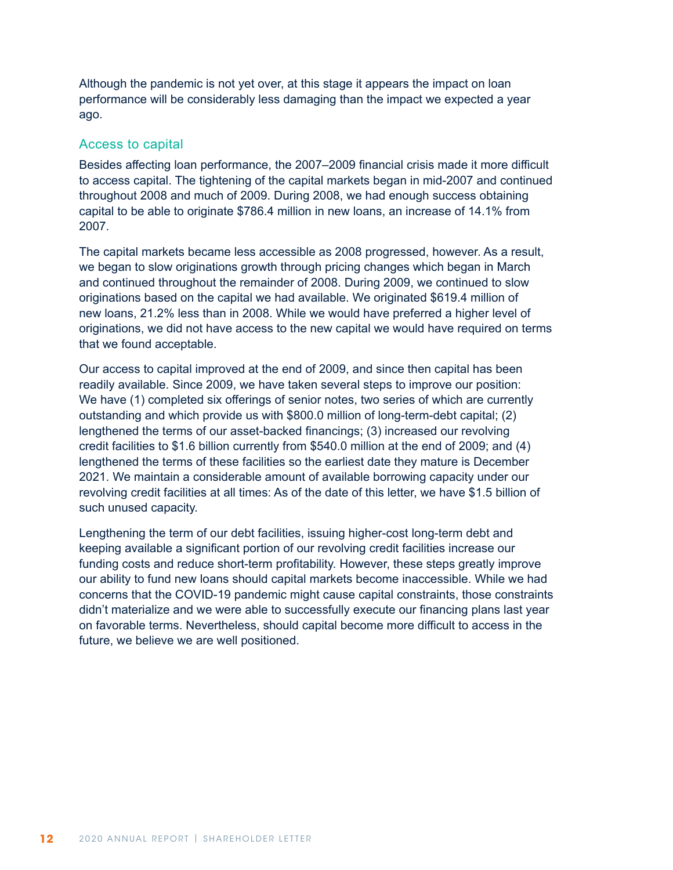Although the pandemic is not yet over, at this stage it appears the impact on loan performance will be considerably less damaging than the impact we expected a year ago.

#### Access to capital

Besides affecting loan performance, the 2007–2009 financial crisis made it more difficult to access capital. The tightening of the capital markets began in mid-2007 and continued throughout 2008 and much of 2009. During 2008, we had enough success obtaining capital to be able to originate \$786.4 million in new loans, an increase of 14.1% from 2007.

The capital markets became less accessible as 2008 progressed, however. As a result, we began to slow originations growth through pricing changes which began in March and continued throughout the remainder of 2008. During 2009, we continued to slow originations based on the capital we had available. We originated \$619.4 million of new loans, 21.2% less than in 2008. While we would have preferred a higher level of originations, we did not have access to the new capital we would have required on terms that we found acceptable.

Our access to capital improved at the end of 2009, and since then capital has been readily available. Since 2009, we have taken several steps to improve our position: We have (1) completed six offerings of senior notes, two series of which are currently outstanding and which provide us with \$800.0 million of long-term-debt capital; (2) lengthened the terms of our asset-backed financings; (3) increased our revolving credit facilities to \$1.6 billion currently from \$540.0 million at the end of 2009; and (4) lengthened the terms of these facilities so the earliest date they mature is December 2021. We maintain a considerable amount of available borrowing capacity under our revolving credit facilities at all times: As of the date of this letter, we have \$1.5 billion of such unused capacity.

Lengthening the term of our debt facilities, issuing higher-cost long-term debt and keeping available a significant portion of our revolving credit facilities increase our funding costs and reduce short-term profitability. However, these steps greatly improve our ability to fund new loans should capital markets become inaccessible. While we had concerns that the COVID-19 pandemic might cause capital constraints, those constraints didn't materialize and we were able to successfully execute our financing plans last year on favorable terms. Nevertheless, should capital become more difficult to access in the future, we believe we are well positioned.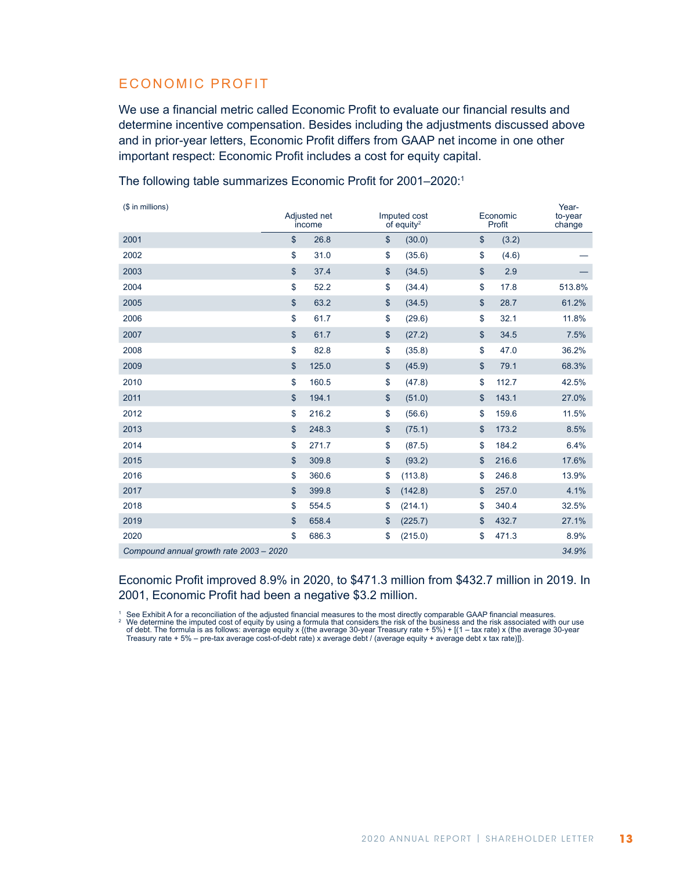## ECONOMIC PROFIT

We use a financial metric called Economic Profit to evaluate our financial results and determine incentive compensation. Besides including the adjustments discussed above and in prior-year letters, Economic Profit differs from GAAP net income in one other important respect: Economic Profit includes a cost for equity capital.

| (\$ in millions)                        | Adjusted net<br>income |                   | Imputed cost<br>$of$ equity <sup>2</sup> | Economic<br>Profit | Year-<br>to-year<br>change |
|-----------------------------------------|------------------------|-------------------|------------------------------------------|--------------------|----------------------------|
| 2001                                    | \$<br>26.8             | $\mathsf{\$}$     | (30.0)                                   | \$<br>(3.2)        |                            |
| 2002                                    | \$<br>31.0             | \$                | (35.6)                                   | \$<br>(4.6)        |                            |
| 2003                                    | \$<br>37.4             | \$                | (34.5)                                   | \$<br>2.9          |                            |
| 2004                                    | \$<br>52.2             | \$                | (34.4)                                   | \$<br>17.8         | 513.8%                     |
| 2005                                    | \$<br>63.2             | $\boldsymbol{\$}$ | (34.5)                                   | \$<br>28.7         | 61.2%                      |
| 2006                                    | \$<br>61.7             | \$                | (29.6)                                   | \$<br>32.1         | 11.8%                      |
| 2007                                    | \$<br>61.7             | $\boldsymbol{\$}$ | (27.2)                                   | \$<br>34.5         | 7.5%                       |
| 2008                                    | \$<br>82.8             | \$                | (35.8)                                   | \$<br>47.0         | 36.2%                      |
| 2009                                    | \$<br>125.0            | $\frac{1}{2}$     | (45.9)                                   | \$<br>79.1         | 68.3%                      |
| 2010                                    | \$<br>160.5            | \$                | (47.8)                                   | \$<br>112.7        | 42.5%                      |
| 2011                                    | \$<br>194.1            | $\frac{1}{2}$     | (51.0)                                   | \$<br>143.1        | 27.0%                      |
| 2012                                    | \$<br>216.2            | \$                | (56.6)                                   | \$<br>159.6        | 11.5%                      |
| 2013                                    | \$<br>248.3            | $\boldsymbol{\$}$ | (75.1)                                   | \$<br>173.2        | 8.5%                       |
| 2014                                    | \$<br>271.7            | \$                | (87.5)                                   | \$<br>184.2        | 6.4%                       |
| 2015                                    | \$<br>309.8            | $\boldsymbol{\$}$ | (93.2)                                   | \$<br>216.6        | 17.6%                      |
| 2016                                    | \$<br>360.6            | \$                | (113.8)                                  | \$<br>246.8        | 13.9%                      |
| 2017                                    | \$<br>399.8            | \$                | (142.8)                                  | \$<br>257.0        | 4.1%                       |
| 2018                                    | \$<br>554.5            | \$                | (214.1)                                  | \$<br>340.4        | 32.5%                      |
| 2019                                    | \$<br>658.4            | \$                | (225.7)                                  | \$<br>432.7        | 27.1%                      |
| 2020                                    | \$<br>686.3            | \$                | (215.0)                                  | \$<br>471.3        | 8.9%                       |
| Compound annual growth rate 2003 - 2020 |                        |                   |                                          |                    | 34.9%                      |

The following table summarizes Economic Profit for 2001–2020:1

Economic Profit improved 8.9% in 2020, to \$471.3 million from \$432.7 million in 2019. In 2001, Economic Profit had been a negative \$3.2 million.

1 See Exhibit A for a reconciliation of the adjusted financial measures to the most directly comparable GAAP financial measures.<br><sup>2</sup> We determine the imputed cost of equity by using a formula that considers the risk of Treasury rate + 5% – pre-tax average cost-of-debt rate) x average debt / (average equity + average debt x tax rate)]}.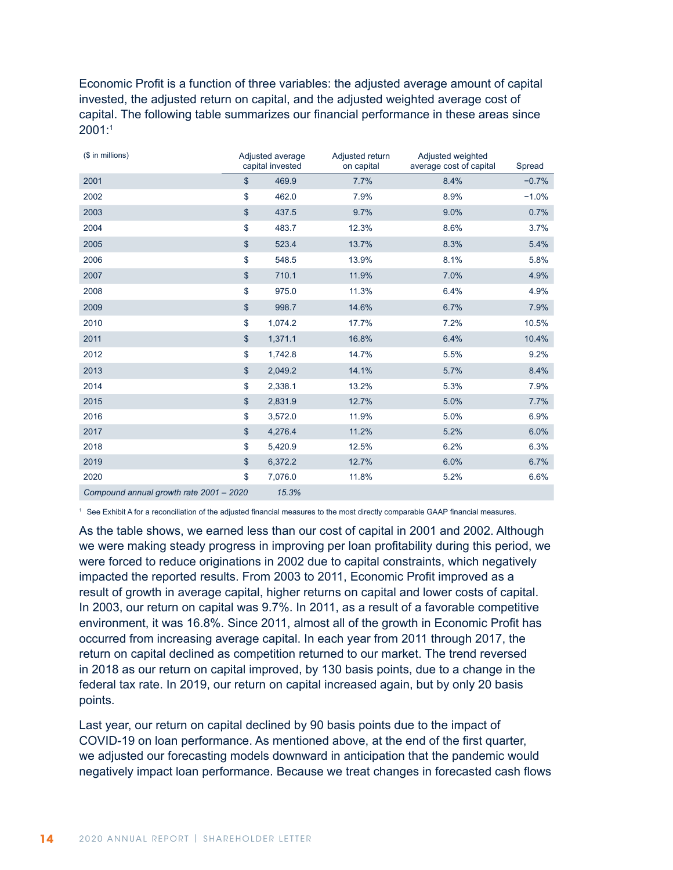Economic Profit is a function of three variables: the adjusted average amount of capital invested, the adjusted return on capital, and the adjusted weighted average cost of capital. The following table summarizes our financial performance in these areas since 2001:1

| (\$ in millions)                        | Adjusted average<br>capital invested | Adjusted return<br>on capital | Adjusted weighted<br>average cost of capital | Spread  |
|-----------------------------------------|--------------------------------------|-------------------------------|----------------------------------------------|---------|
| 2001                                    | \$<br>469.9                          | 7.7%                          | 8.4%                                         | $-0.7%$ |
| 2002                                    | \$<br>462.0                          | 7.9%                          | 8.9%                                         | $-1.0%$ |
| 2003                                    | \$<br>437.5                          | 9.7%                          | 9.0%                                         | 0.7%    |
| 2004                                    | \$<br>483.7                          | 12.3%                         | 8.6%                                         | 3.7%    |
| 2005                                    | \$<br>523.4                          | 13.7%                         | 8.3%                                         | 5.4%    |
| 2006                                    | \$<br>548.5                          | 13.9%                         | 8.1%                                         | 5.8%    |
| 2007                                    | \$<br>710.1                          | 11.9%                         | 7.0%                                         | 4.9%    |
| 2008                                    | \$<br>975.0                          | 11.3%                         | 6.4%                                         | 4.9%    |
| 2009                                    | \$<br>998.7                          | 14.6%                         | 6.7%                                         | 7.9%    |
| 2010                                    | \$<br>1,074.2                        | 17.7%                         | 7.2%                                         | 10.5%   |
| 2011                                    | \$<br>1,371.1                        | 16.8%                         | 6.4%                                         | 10.4%   |
| 2012                                    | \$<br>1,742.8                        | 14.7%                         | 5.5%                                         | 9.2%    |
| 2013                                    | \$<br>2,049.2                        | 14.1%                         | 5.7%                                         | 8.4%    |
| 2014                                    | \$<br>2,338.1                        | 13.2%                         | 5.3%                                         | 7.9%    |
| 2015                                    | \$<br>2,831.9                        | 12.7%                         | 5.0%                                         | 7.7%    |
| 2016                                    | \$<br>3,572.0                        | 11.9%                         | 5.0%                                         | 6.9%    |
| 2017                                    | \$<br>4,276.4                        | 11.2%                         | 5.2%                                         | 6.0%    |
| 2018                                    | \$<br>5,420.9                        | 12.5%                         | 6.2%                                         | 6.3%    |
| 2019                                    | \$<br>6,372.2                        | 12.7%                         | 6.0%                                         | 6.7%    |
| 2020                                    | \$<br>7,076.0                        | 11.8%                         | 5.2%                                         | 6.6%    |
| Compound annual growth rate 2001 - 2020 | 15.3%                                |                               |                                              |         |

<sup>1</sup> See Exhibit A for a reconciliation of the adjusted financial measures to the most directly comparable GAAP financial measures.

As the table shows, we earned less than our cost of capital in 2001 and 2002. Although we were making steady progress in improving per loan profitability during this period, we were forced to reduce originations in 2002 due to capital constraints, which negatively impacted the reported results. From 2003 to 2011, Economic Profit improved as a result of growth in average capital, higher returns on capital and lower costs of capital. In 2003, our return on capital was 9.7%. In 2011, as a result of a favorable competitive environment, it was 16.8%. Since 2011, almost all of the growth in Economic Profit has occurred from increasing average capital. In each year from 2011 through 2017, the return on capital declined as competition returned to our market. The trend reversed in 2018 as our return on capital improved, by 130 basis points, due to a change in the federal tax rate. In 2019, our return on capital increased again, but by only 20 basis points.

Last year, our return on capital declined by 90 basis points due to the impact of COVID-19 on loan performance. As mentioned above, at the end of the first quarter, we adjusted our forecasting models downward in anticipation that the pandemic would negatively impact loan performance. Because we treat changes in forecasted cash flows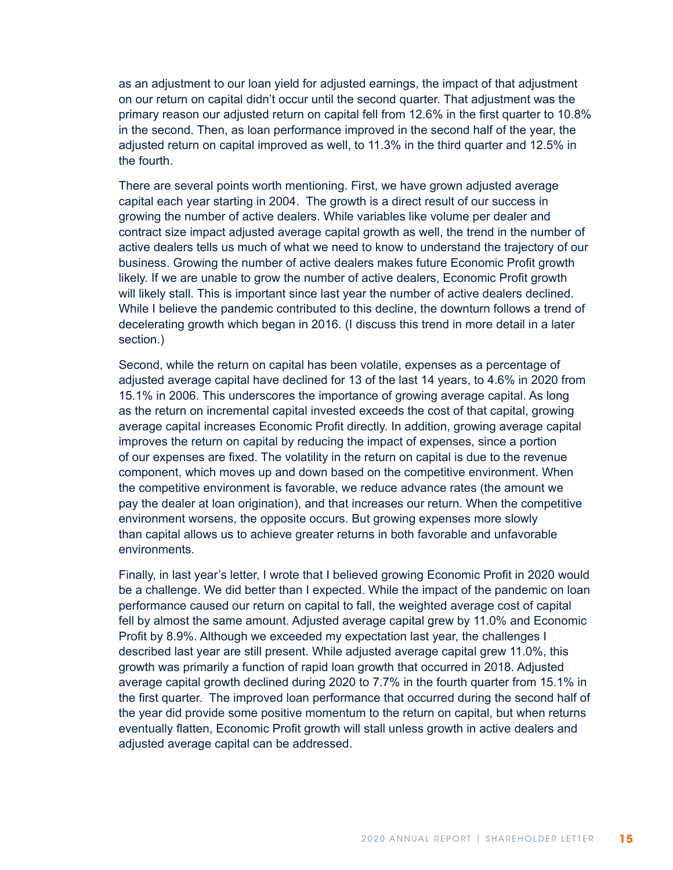as an adjustment to our loan yield for adjusted earnings, the impact of that adjustment on our return on capital didn't occur until the second quarter. That adjustment was the primary reason our adjusted return on capital fell from 12.6% in the first quarter to 10.8% in the second. Then, as loan performance improved in the second half of the year, the adjusted return on capital improved as well, to 11.3% in the third quarter and 12.5% in the fourth.

There are several points worth mentioning. First, we have grown adjusted average capital each year starting in 2004. The growth is a direct result of our success in growing the number of active dealers. While variables like volume per dealer and contract size impact adjusted average capital growth as well, the trend in the number of active dealers tells us much of what we need to know to understand the trajectory of our business. Growing the number of active dealers makes future Economic Profit growth likely. If we are unable to grow the number of active dealers, Economic Profit growth will likely stall. This is important since last year the number of active dealers declined. While I believe the pandemic contributed to this decline, the downturn follows a trend of decelerating growth which began in 2016. (I discuss this trend in more detail in a later section.)

Second, while the return on capital has been volatile, expenses as a percentage of adjusted average capital have declined for 13 of the last 14 years, to 4.6% in 2020 from 15.1% in 2006. This underscores the importance of growing average capital. As long as the return on incremental capital invested exceeds the cost of that capital, growing average capital increases Economic Profit directly. In addition, growing average capital improves the return on capital by reducing the impact of expenses, since a portion of our expenses are fixed. The volatility in the return on capital is due to the revenue component, which moves up and down based on the competitive environment. When the competitive environment is favorable, we reduce advance rates (the amount we pay the dealer at loan origination), and that increases our return. When the competitive environment worsens, the opposite occurs. But growing expenses more slowly than capital allows us to achieve greater returns in both favorable and unfavorable environments.

Finally, in last year's letter, I wrote that I believed growing Economic Profit in 2020 would be a challenge. We did better than I expected. While the impact of the pandemic on loan performance caused our return on capital to fall, the weighted average cost of capital fell by almost the same amount. Adjusted average capital grew by 11.0% and Economic Profit by 8.9%. Although we exceeded my expectation last year, the challenges I described last year are still present. While adjusted average capital grew 11.0%, this growth was primarily a function of rapid loan growth that occurred in 2018. Adjusted average capital growth declined during 2020 to 7.7% in the fourth quarter from 15.1% in the first quarter. The improved loan performance that occurred during the second half of the year did provide some positive momentum to the return on capital, but when returns eventually flatten, Economic Profit growth will stall unless growth in active dealers and adjusted average capital can be addressed.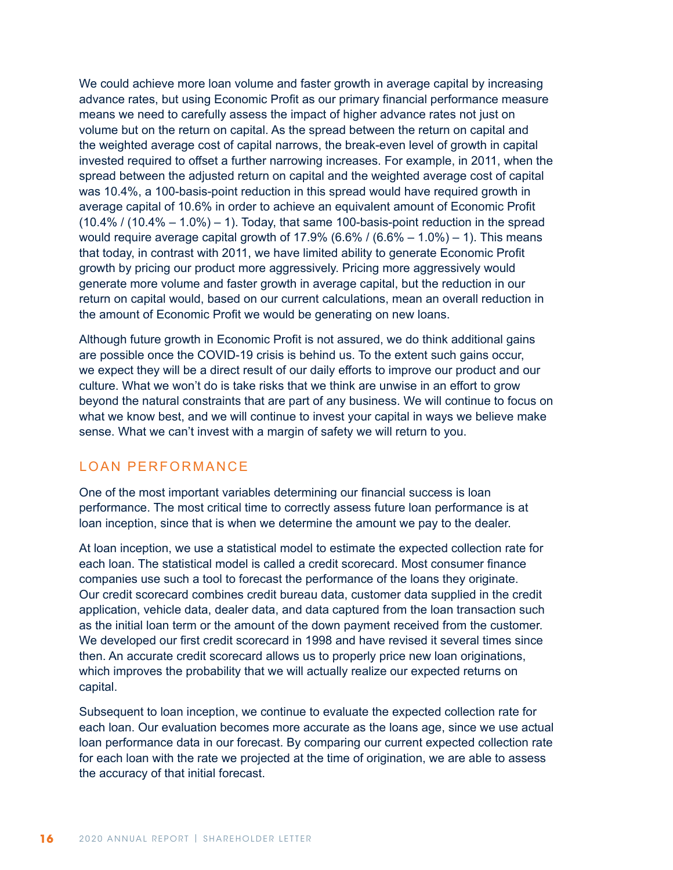We could achieve more loan volume and faster growth in average capital by increasing advance rates, but using Economic Profit as our primary financial performance measure means we need to carefully assess the impact of higher advance rates not just on volume but on the return on capital. As the spread between the return on capital and the weighted average cost of capital narrows, the break-even level of growth in capital invested required to offset a further narrowing increases. For example, in 2011, when the spread between the adjusted return on capital and the weighted average cost of capital was 10.4%, a 100-basis-point reduction in this spread would have required growth in average capital of 10.6% in order to achieve an equivalent amount of Economic Profit  $(10.4\% / (10.4\% - 1.0\%) - 1)$ . Today, that same 100-basis-point reduction in the spread would require average capital growth of  $17.9\%$  (6.6% / (6.6% – 1.0%) – 1). This means that today, in contrast with 2011, we have limited ability to generate Economic Profit growth by pricing our product more aggressively. Pricing more aggressively would generate more volume and faster growth in average capital, but the reduction in our return on capital would, based on our current calculations, mean an overall reduction in the amount of Economic Profit we would be generating on new loans.

Although future growth in Economic Profit is not assured, we do think additional gains are possible once the COVID-19 crisis is behind us. To the extent such gains occur, we expect they will be a direct result of our daily efforts to improve our product and our culture. What we won't do is take risks that we think are unwise in an effort to grow beyond the natural constraints that are part of any business. We will continue to focus on what we know best, and we will continue to invest your capital in ways we believe make sense. What we can't invest with a margin of safety we will return to you.

## LOAN PERFORMANCE

One of the most important variables determining our financial success is loan performance. The most critical time to correctly assess future loan performance is at loan inception, since that is when we determine the amount we pay to the dealer.

At loan inception, we use a statistical model to estimate the expected collection rate for each loan. The statistical model is called a credit scorecard. Most consumer finance companies use such a tool to forecast the performance of the loans they originate. Our credit scorecard combines credit bureau data, customer data supplied in the credit application, vehicle data, dealer data, and data captured from the loan transaction such as the initial loan term or the amount of the down payment received from the customer. We developed our first credit scorecard in 1998 and have revised it several times since then. An accurate credit scorecard allows us to properly price new loan originations, which improves the probability that we will actually realize our expected returns on capital.

Subsequent to loan inception, we continue to evaluate the expected collection rate for each loan. Our evaluation becomes more accurate as the loans age, since we use actual loan performance data in our forecast. By comparing our current expected collection rate for each loan with the rate we projected at the time of origination, we are able to assess the accuracy of that initial forecast.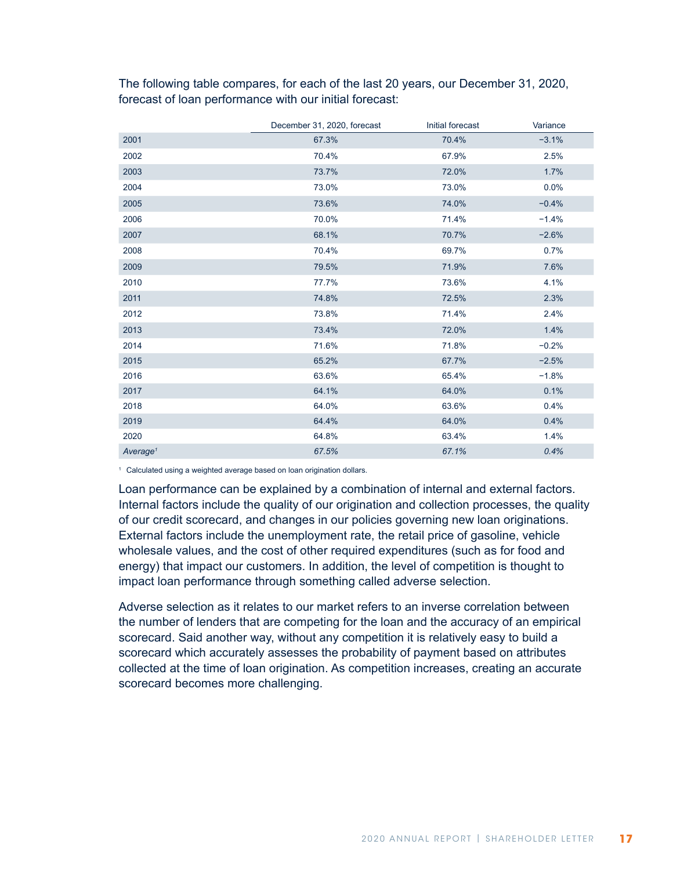|                      | December 31, 2020, forecast | Initial forecast | Variance |
|----------------------|-----------------------------|------------------|----------|
| 2001                 | 67.3%                       | 70.4%            | $-3.1%$  |
| 2002                 | 70.4%                       | 67.9%            | 2.5%     |
| 2003                 | 73.7%                       | 72.0%            | 1.7%     |
| 2004                 | 73.0%                       | 73.0%            | 0.0%     |
| 2005                 | 73.6%                       | 74.0%            | $-0.4%$  |
| 2006                 | 70.0%                       | 71.4%            | $-1.4%$  |
| 2007                 | 68.1%                       | 70.7%            | $-2.6%$  |
| 2008                 | 70.4%                       | 69.7%            | 0.7%     |
| 2009                 | 79.5%                       | 71.9%            | 7.6%     |
| 2010                 | 77.7%                       | 73.6%            | 4.1%     |
| 2011                 | 74.8%                       | 72.5%            | 2.3%     |
| 2012                 | 73.8%                       | 71.4%            | 2.4%     |
| 2013                 | 73.4%                       | 72.0%            | 1.4%     |
| 2014                 | 71.6%                       | 71.8%            | $-0.2%$  |
| 2015                 | 65.2%                       | 67.7%            | $-2.5%$  |
| 2016                 | 63.6%                       | 65.4%            | $-1.8%$  |
| 2017                 | 64.1%                       | 64.0%            | 0.1%     |
| 2018                 | 64.0%                       | 63.6%            | 0.4%     |
| 2019                 | 64.4%                       | 64.0%            | 0.4%     |
| 2020                 | 64.8%                       | 63.4%            | 1.4%     |
| Average <sup>1</sup> | 67.5%                       | 67.1%            | 0.4%     |

The following table compares, for each of the last 20 years, our December 31, 2020, forecast of loan performance with our initial forecast:

<sup>1</sup> Calculated using a weighted average based on loan origination dollars.

Loan performance can be explained by a combination of internal and external factors. Internal factors include the quality of our origination and collection processes, the quality of our credit scorecard, and changes in our policies governing new loan originations. External factors include the unemployment rate, the retail price of gasoline, vehicle wholesale values, and the cost of other required expenditures (such as for food and energy) that impact our customers. In addition, the level of competition is thought to impact loan performance through something called adverse selection.

Adverse selection as it relates to our market refers to an inverse correlation between the number of lenders that are competing for the loan and the accuracy of an empirical scorecard. Said another way, without any competition it is relatively easy to build a scorecard which accurately assesses the probability of payment based on attributes collected at the time of loan origination. As competition increases, creating an accurate scorecard becomes more challenging.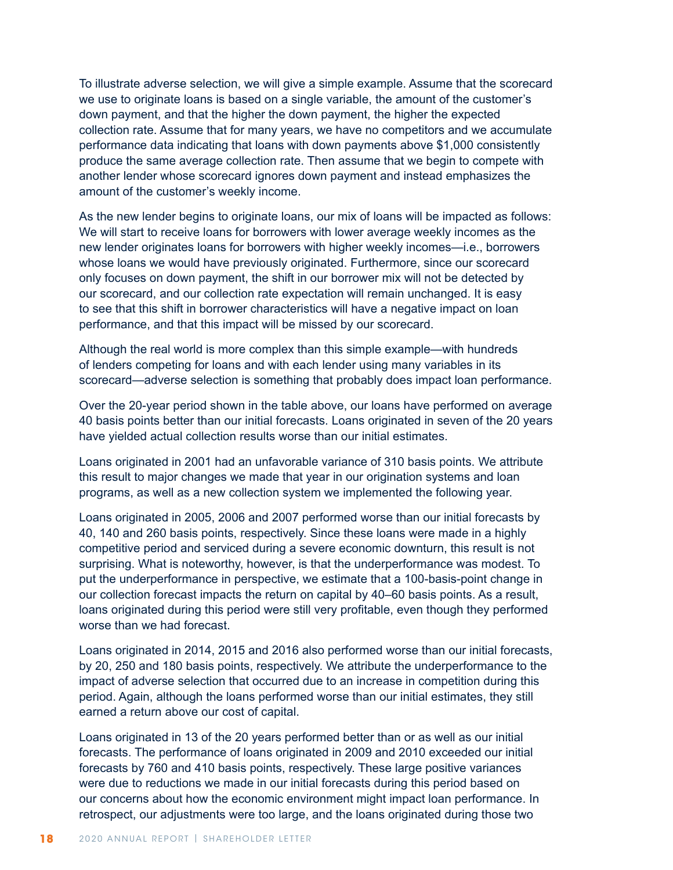To illustrate adverse selection, we will give a simple example. Assume that the scorecard we use to originate loans is based on a single variable, the amount of the customer's down payment, and that the higher the down payment, the higher the expected collection rate. Assume that for many years, we have no competitors and we accumulate performance data indicating that loans with down payments above \$1,000 consistently produce the same average collection rate. Then assume that we begin to compete with another lender whose scorecard ignores down payment and instead emphasizes the amount of the customer's weekly income.

As the new lender begins to originate loans, our mix of loans will be impacted as follows: We will start to receive loans for borrowers with lower average weekly incomes as the new lender originates loans for borrowers with higher weekly incomes—i.e., borrowers whose loans we would have previously originated. Furthermore, since our scorecard only focuses on down payment, the shift in our borrower mix will not be detected by our scorecard, and our collection rate expectation will remain unchanged. It is easy to see that this shift in borrower characteristics will have a negative impact on loan performance, and that this impact will be missed by our scorecard.

Although the real world is more complex than this simple example—with hundreds of lenders competing for loans and with each lender using many variables in its scorecard—adverse selection is something that probably does impact loan performance.

Over the 20-year period shown in the table above, our loans have performed on average 40 basis points better than our initial forecasts. Loans originated in seven of the 20 years have yielded actual collection results worse than our initial estimates.

Loans originated in 2001 had an unfavorable variance of 310 basis points. We attribute this result to major changes we made that year in our origination systems and loan programs, as well as a new collection system we implemented the following year.

Loans originated in 2005, 2006 and 2007 performed worse than our initial forecasts by 40, 140 and 260 basis points, respectively. Since these loans were made in a highly competitive period and serviced during a severe economic downturn, this result is not surprising. What is noteworthy, however, is that the underperformance was modest. To put the underperformance in perspective, we estimate that a 100-basis-point change in our collection forecast impacts the return on capital by 40–60 basis points. As a result, loans originated during this period were still very profitable, even though they performed worse than we had forecast.

Loans originated in 2014, 2015 and 2016 also performed worse than our initial forecasts, by 20, 250 and 180 basis points, respectively. We attribute the underperformance to the impact of adverse selection that occurred due to an increase in competition during this period. Again, although the loans performed worse than our initial estimates, they still earned a return above our cost of capital.

Loans originated in 13 of the 20 years performed better than or as well as our initial forecasts. The performance of loans originated in 2009 and 2010 exceeded our initial forecasts by 760 and 410 basis points, respectively. These large positive variances were due to reductions we made in our initial forecasts during this period based on our concerns about how the economic environment might impact loan performance. In retrospect, our adjustments were too large, and the loans originated during those two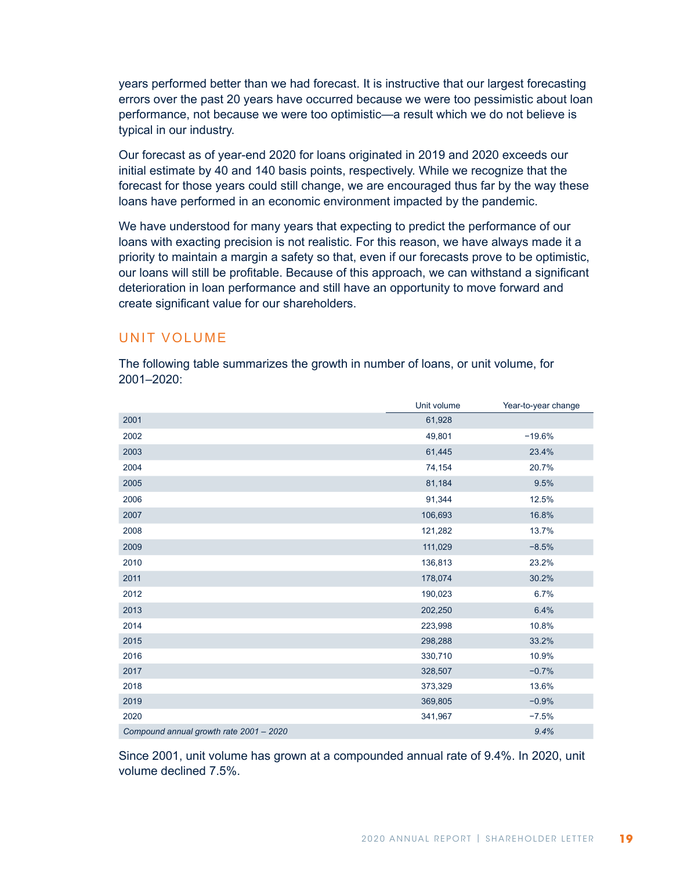years performed better than we had forecast. It is instructive that our largest forecasting errors over the past 20 years have occurred because we were too pessimistic about loan performance, not because we were too optimistic—a result which we do not believe is typical in our industry.

Our forecast as of year-end 2020 for loans originated in 2019 and 2020 exceeds our initial estimate by 40 and 140 basis points, respectively. While we recognize that the forecast for those years could still change, we are encouraged thus far by the way these loans have performed in an economic environment impacted by the pandemic.

We have understood for many years that expecting to predict the performance of our loans with exacting precision is not realistic. For this reason, we have always made it a priority to maintain a margin a safety so that, even if our forecasts prove to be optimistic, our loans will still be profitable. Because of this approach, we can withstand a significant deterioration in loan performance and still have an opportunity to move forward and create significant value for our shareholders.

### UNIT VOLUME

The following table summarizes the growth in number of loans, or unit volume, for 2001–2020:

|                                         | Unit volume | Year-to-year change |
|-----------------------------------------|-------------|---------------------|
| 2001                                    | 61,928      |                     |
| 2002                                    | 49,801      | $-19.6%$            |
| 2003                                    | 61,445      | 23.4%               |
| 2004                                    | 74,154      | 20.7%               |
| 2005                                    | 81,184      | 9.5%                |
| 2006                                    | 91,344      | 12.5%               |
| 2007                                    | 106,693     | 16.8%               |
| 2008                                    | 121,282     | 13.7%               |
| 2009                                    | 111,029     | $-8.5%$             |
| 2010                                    | 136,813     | 23.2%               |
| 2011                                    | 178,074     | 30.2%               |
| 2012                                    | 190,023     | 6.7%                |
| 2013                                    | 202,250     | 6.4%                |
| 2014                                    | 223,998     | 10.8%               |
| 2015                                    | 298,288     | 33.2%               |
| 2016                                    | 330,710     | 10.9%               |
| 2017                                    | 328,507     | $-0.7%$             |
| 2018                                    | 373,329     | 13.6%               |
| 2019                                    | 369,805     | $-0.9%$             |
| 2020                                    | 341,967     | $-7.5%$             |
| Compound annual growth rate 2001 - 2020 |             | 9.4%                |

Since 2001, unit volume has grown at a compounded annual rate of 9.4%. In 2020, unit volume declined 7.5%.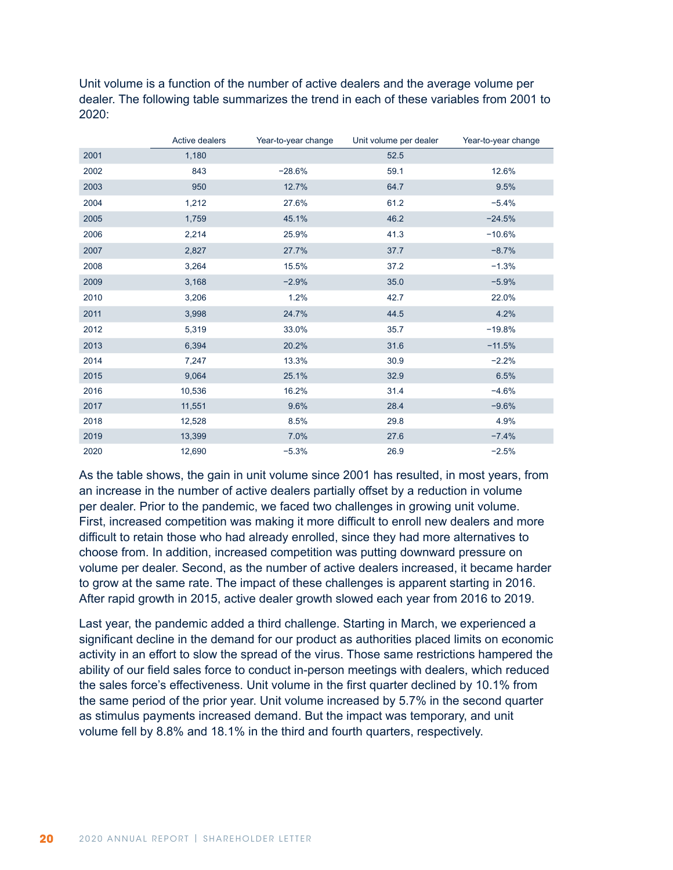Unit volume is a function of the number of active dealers and the average volume per dealer. The following table summarizes the trend in each of these variables from 2001 to 2020:

|      | Active dealers | Year-to-year change | Unit volume per dealer | Year-to-year change |
|------|----------------|---------------------|------------------------|---------------------|
| 2001 | 1,180          |                     | 52.5                   |                     |
| 2002 | 843            | $-28.6%$            | 59.1                   | 12.6%               |
| 2003 | 950            | 12.7%               | 64.7                   | 9.5%                |
| 2004 | 1,212          | 27.6%               | 61.2                   | $-5.4%$             |
| 2005 | 1,759          | 45.1%               | 46.2                   | $-24.5%$            |
| 2006 | 2,214          | 25.9%               | 41.3                   | $-10.6%$            |
| 2007 | 2,827          | 27.7%               | 37.7                   | $-8.7%$             |
| 2008 | 3,264          | 15.5%               | 37.2                   | $-1.3%$             |
| 2009 | 3,168          | $-2.9%$             | 35.0                   | $-5.9%$             |
| 2010 | 3,206          | 1.2%                | 42.7                   | 22.0%               |
| 2011 | 3,998          | 24.7%               | 44.5                   | 4.2%                |
| 2012 | 5,319          | 33.0%               | 35.7                   | $-19.8%$            |
| 2013 | 6,394          | 20.2%               | 31.6                   | $-11.5%$            |
| 2014 | 7,247          | 13.3%               | 30.9                   | $-2.2%$             |
| 2015 | 9,064          | 25.1%               | 32.9                   | 6.5%                |
| 2016 | 10,536         | 16.2%               | 31.4                   | $-4.6%$             |
| 2017 | 11,551         | 9.6%                | 28.4                   | $-9.6%$             |
| 2018 | 12,528         | 8.5%                | 29.8                   | 4.9%                |
| 2019 | 13,399         | 7.0%                | 27.6                   | $-7.4%$             |
| 2020 | 12,690         | $-5.3%$             | 26.9                   | $-2.5%$             |

As the table shows, the gain in unit volume since 2001 has resulted, in most years, from an increase in the number of active dealers partially offset by a reduction in volume per dealer. Prior to the pandemic, we faced two challenges in growing unit volume. First, increased competition was making it more difficult to enroll new dealers and more difficult to retain those who had already enrolled, since they had more alternatives to choose from. In addition, increased competition was putting downward pressure on volume per dealer. Second, as the number of active dealers increased, it became harder to grow at the same rate. The impact of these challenges is apparent starting in 2016. After rapid growth in 2015, active dealer growth slowed each year from 2016 to 2019.

Last year, the pandemic added a third challenge. Starting in March, we experienced a significant decline in the demand for our product as authorities placed limits on economic activity in an effort to slow the spread of the virus. Those same restrictions hampered the ability of our field sales force to conduct in-person meetings with dealers, which reduced the sales force's effectiveness. Unit volume in the first quarter declined by 10.1% from the same period of the prior year. Unit volume increased by 5.7% in the second quarter as stimulus payments increased demand. But the impact was temporary, and unit volume fell by 8.8% and 18.1% in the third and fourth quarters, respectively.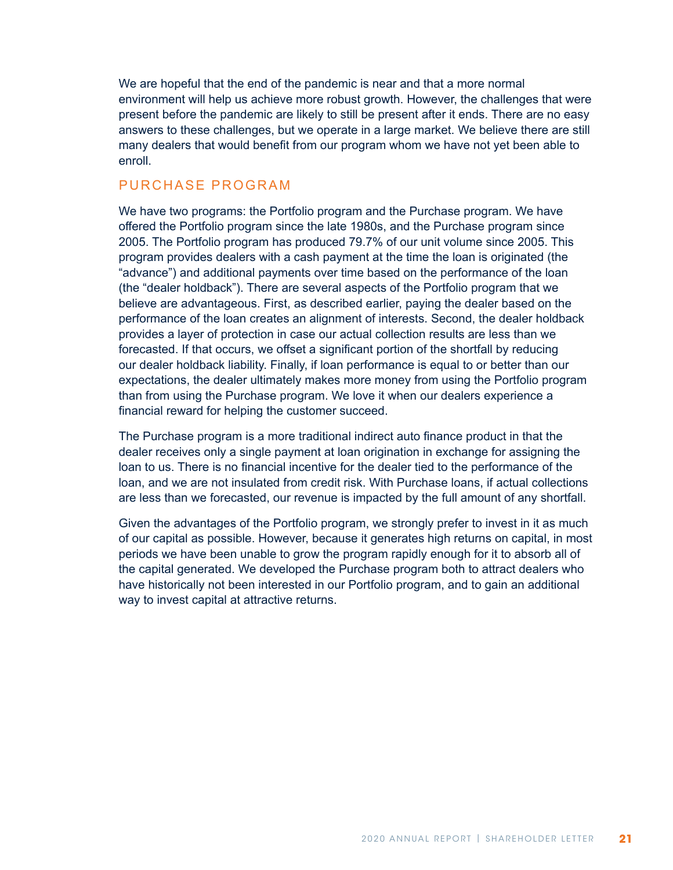We are hopeful that the end of the pandemic is near and that a more normal environment will help us achieve more robust growth. However, the challenges that were present before the pandemic are likely to still be present after it ends. There are no easy answers to these challenges, but we operate in a large market. We believe there are still many dealers that would benefit from our program whom we have not yet been able to enroll.

### PURCHASE PROGRAM

We have two programs: the Portfolio program and the Purchase program. We have offered the Portfolio program since the late 1980s, and the Purchase program since 2005. The Portfolio program has produced 79.7% of our unit volume since 2005. This program provides dealers with a cash payment at the time the loan is originated (the "advance") and additional payments over time based on the performance of the loan (the "dealer holdback"). There are several aspects of the Portfolio program that we believe are advantageous. First, as described earlier, paying the dealer based on the performance of the loan creates an alignment of interests. Second, the dealer holdback provides a layer of protection in case our actual collection results are less than we forecasted. If that occurs, we offset a significant portion of the shortfall by reducing our dealer holdback liability. Finally, if loan performance is equal to or better than our expectations, the dealer ultimately makes more money from using the Portfolio program than from using the Purchase program. We love it when our dealers experience a financial reward for helping the customer succeed.

The Purchase program is a more traditional indirect auto finance product in that the dealer receives only a single payment at loan origination in exchange for assigning the loan to us. There is no financial incentive for the dealer tied to the performance of the loan, and we are not insulated from credit risk. With Purchase loans, if actual collections are less than we forecasted, our revenue is impacted by the full amount of any shortfall.

Given the advantages of the Portfolio program, we strongly prefer to invest in it as much of our capital as possible. However, because it generates high returns on capital, in most periods we have been unable to grow the program rapidly enough for it to absorb all of the capital generated. We developed the Purchase program both to attract dealers who have historically not been interested in our Portfolio program, and to gain an additional way to invest capital at attractive returns.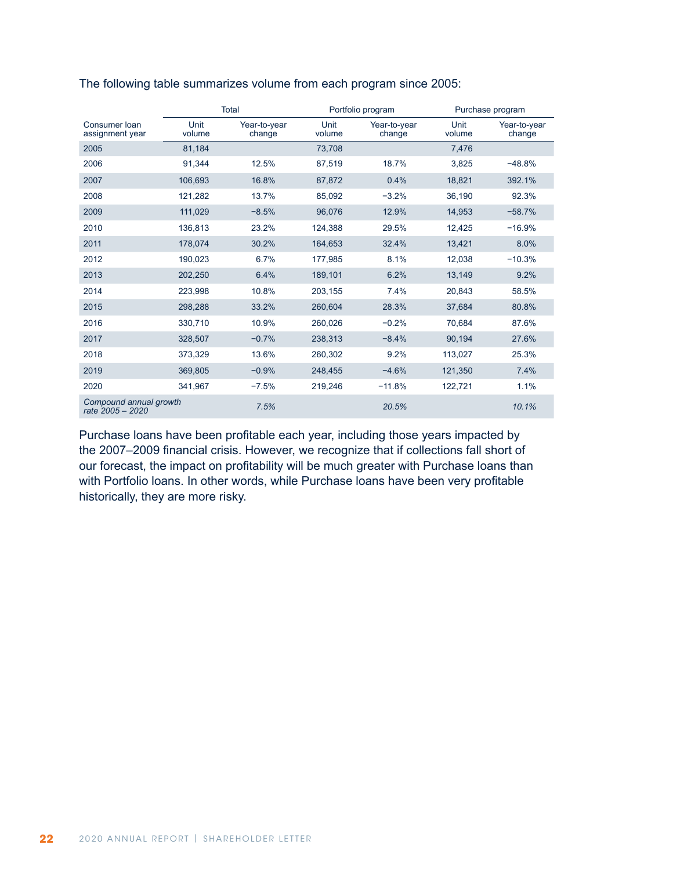|                                            |                | Total                  |                | Portfolio program      | Purchase program |                        |  |
|--------------------------------------------|----------------|------------------------|----------------|------------------------|------------------|------------------------|--|
| Consumer Ioan<br>assignment year           | Unit<br>volume | Year-to-year<br>change | Unit<br>volume | Year-to-year<br>change | Unit<br>volume   | Year-to-year<br>change |  |
| 2005                                       | 81,184         |                        | 73,708         |                        | 7,476            |                        |  |
| 2006                                       | 91,344         | 12.5%                  | 87,519         | 18.7%                  | 3,825            | $-48.8%$               |  |
| 2007                                       | 106,693        | 16.8%                  | 87,872         | 0.4%                   | 18,821           | 392.1%                 |  |
| 2008                                       | 121,282        | 13.7%                  | 85,092         | $-3.2%$                | 36,190           | 92.3%                  |  |
| 2009                                       | 111,029        | $-8.5%$                | 96,076         | 12.9%                  | 14,953           | $-58.7%$               |  |
| 2010                                       | 136,813        | 23.2%                  | 124,388        | 29.5%                  | 12,425           | $-16.9%$               |  |
| 2011                                       | 178,074        | 30.2%                  | 164,653        | 32.4%                  | 13,421           | 8.0%                   |  |
| 2012                                       | 190,023        | 6.7%                   | 177,985        | 8.1%                   | 12.038           | $-10.3%$               |  |
| 2013                                       | 202,250        | 6.4%                   | 189,101        | 6.2%                   | 13,149           | 9.2%                   |  |
| 2014                                       | 223.998        | 10.8%                  | 203.155        | 7.4%                   | 20.843           | 58.5%                  |  |
| 2015                                       | 298,288        | 33.2%                  | 260,604        | 28.3%                  | 37,684           | 80.8%                  |  |
| 2016                                       | 330,710        | 10.9%                  | 260,026        | $-0.2%$                | 70.684           | 87.6%                  |  |
| 2017                                       | 328,507        | $-0.7%$                | 238,313        | $-8.4%$                | 90,194           | 27.6%                  |  |
| 2018                                       | 373,329        | 13.6%                  | 260.302        | 9.2%                   | 113,027          | 25.3%                  |  |
| 2019                                       | 369,805        | $-0.9%$                | 248,455        | $-4.6%$                | 121,350          | 7.4%                   |  |
| 2020                                       | 341,967        | $-7.5%$                | 219,246        | $-11.8%$               | 122,721          | 1.1%                   |  |
| Compound annual growth<br>rate 2005 - 2020 |                | 7.5%                   |                | 20.5%                  |                  | 10.1%                  |  |

#### The following table summarizes volume from each program since 2005:

Purchase loans have been profitable each year, including those years impacted by the 2007–2009 financial crisis. However, we recognize that if collections fall short of our forecast, the impact on profitability will be much greater with Purchase loans than with Portfolio loans. In other words, while Purchase loans have been very profitable historically, they are more risky.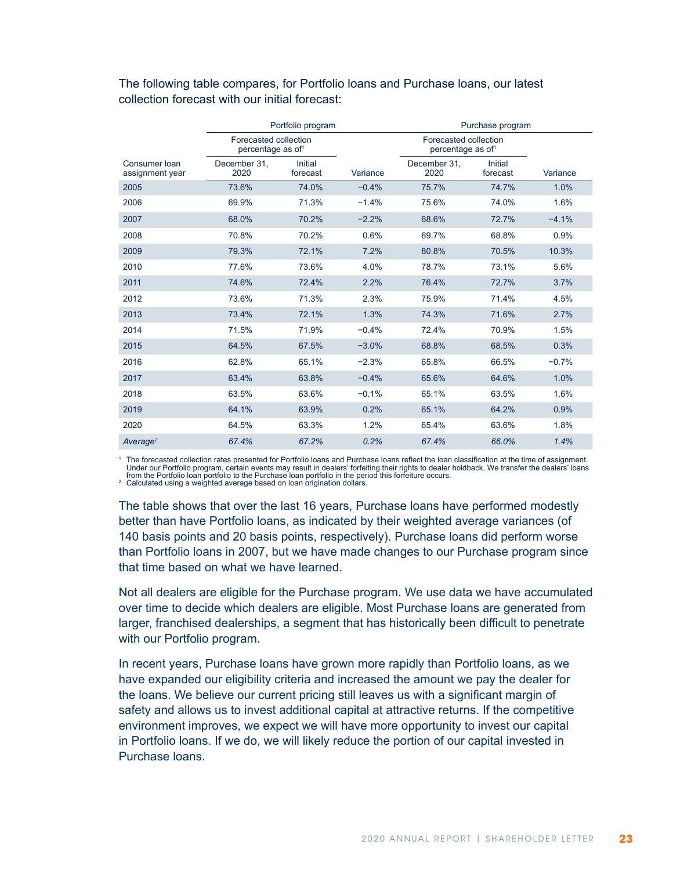|                                  |                                                        | Portfolio program   |          | Purchase program                                       |                            |          |  |
|----------------------------------|--------------------------------------------------------|---------------------|----------|--------------------------------------------------------|----------------------------|----------|--|
|                                  | Forecasted collection<br>percentage as of <sup>1</sup> |                     |          | Forecasted collection<br>percentage as of <sup>1</sup> |                            |          |  |
| Consumer Ioan<br>assignment year | December 31.<br>2020                                   | Initial<br>forecast | Variance | December 31.<br>2020                                   | <b>Initial</b><br>forecast | Variance |  |
| 2005                             | 73.6%                                                  | 74.0%               | $-0.4%$  | 75.7%                                                  | 74.7%                      | 1.0%     |  |
| 2006                             | 69.9%                                                  | 71.3%               | $-1.4%$  | 75.6%                                                  | 74.0%                      | 1.6%     |  |
| 2007                             | 68.0%                                                  | 70.2%               | $-2.2%$  | 68.6%                                                  | 72.7%                      | $-4.1%$  |  |
| 2008                             | 70.8%                                                  | 70.2%               | 0.6%     | 69.7%                                                  | 68.8%                      | 0.9%     |  |
| 2009                             | 79.3%                                                  | 72.1%               | 7.2%     | 80.8%                                                  | 70.5%                      | 10.3%    |  |
| 2010                             | 77.6%                                                  | 73.6%               | 4.0%     | 78.7%                                                  | 73.1%                      | 5.6%     |  |
| 2011                             | 74.6%                                                  | 72.4%               | 2.2%     | 76.4%                                                  | 72.7%                      | 3.7%     |  |
| 2012                             | 73.6%                                                  | 71.3%               | 2.3%     | 75.9%                                                  | 71.4%                      | 4.5%     |  |
| 2013                             | 73.4%                                                  | 72.1%               | 1.3%     | 74.3%                                                  | 71.6%                      | 2.7%     |  |
| 2014                             | 71.5%                                                  | 71.9%               | $-0.4%$  | 72.4%                                                  | 70.9%                      | 1.5%     |  |
| 2015                             | 64.5%                                                  | 67.5%               | $-3.0%$  | 68.8%                                                  | 68.5%                      | 0.3%     |  |
| 2016                             | 62.8%                                                  | 65.1%               | $-2.3%$  | 65.8%                                                  | 66.5%                      | $-0.7%$  |  |
| 2017                             | 63.4%                                                  | 63.8%               | $-0.4%$  | 65.6%                                                  | 64.6%                      | 1.0%     |  |
| 2018                             | 63.5%                                                  | 63.6%               | $-0.1%$  | 65.1%                                                  | 63.5%                      | 1.6%     |  |
| 2019                             | 64.1%                                                  | 63.9%               | 0.2%     | 65.1%                                                  | 64.2%                      | 0.9%     |  |
| 2020                             | 64.5%                                                  | 63.3%               | 1.2%     | 65.4%                                                  | 63.6%                      | 1.8%     |  |
| Average <sup>2</sup>             | 67.4%                                                  | 67.2%               | 0.2%     | 67.4%                                                  | 66.0%                      | 1.4%     |  |

The following table compares, for Portfolio loans and Purchase loans, our latest collection forecast with our initial forecast:

<sup>1</sup> The forecasted collection rates presented for Portfolio loans and Purchase loans reflect the loan classification at the time of assignment.<br>Under our Portfolio program, certain events may result in dealers' forfeiting

The table shows that over the last 16 years, Purchase loans have performed modestly better than have Portfolio loans, as indicated by their weighted average variances (of 140 basis points and 20 basis points, respectively). Purchase loans did perform worse than Portfolio loans in 2007, but we have made changes to our Purchase program since that time based on what we have learned.

Not all dealers are eligible for the Purchase program. We use data we have accumulated over time to decide which dealers are eligible. Most Purchase loans are generated from larger, franchised dealerships, a segment that has historically been difficult to penetrate with our Portfolio program.

In recent years, Purchase loans have grown more rapidly than Portfolio loans, as we have expanded our eligibility criteria and increased the amount we pay the dealer for the loans. We believe our current pricing still leaves us with a significant margin of safety and allows us to invest additional capital at attractive returns. If the competitive environment improves, we expect we will have more opportunity to invest our capital in Portfolio loans. If we do, we will likely reduce the portion of our capital invested in Purchase loans.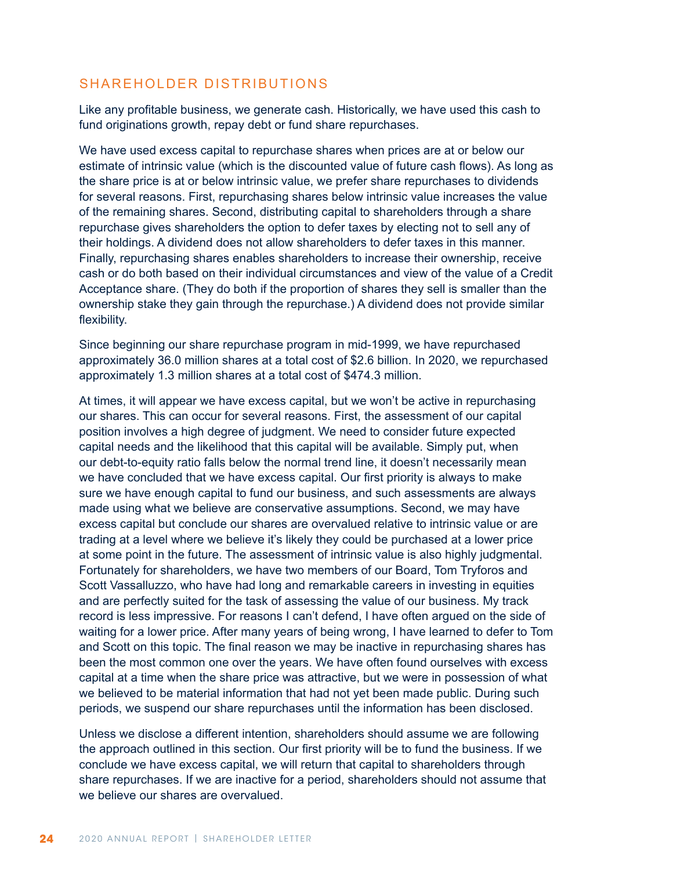## SHAREHOLDER DISTRIBUTIONS

Like any profitable business, we generate cash. Historically, we have used this cash to fund originations growth, repay debt or fund share repurchases.

We have used excess capital to repurchase shares when prices are at or below our estimate of intrinsic value (which is the discounted value of future cash flows). As long as the share price is at or below intrinsic value, we prefer share repurchases to dividends for several reasons. First, repurchasing shares below intrinsic value increases the value of the remaining shares. Second, distributing capital to shareholders through a share repurchase gives shareholders the option to defer taxes by electing not to sell any of their holdings. A dividend does not allow shareholders to defer taxes in this manner. Finally, repurchasing shares enables shareholders to increase their ownership, receive cash or do both based on their individual circumstances and view of the value of a Credit Acceptance share. (They do both if the proportion of shares they sell is smaller than the ownership stake they gain through the repurchase.) A dividend does not provide similar flexibility.

Since beginning our share repurchase program in mid-1999, we have repurchased approximately 36.0 million shares at a total cost of \$2.6 billion. In 2020, we repurchased approximately 1.3 million shares at a total cost of \$474.3 million.

At times, it will appear we have excess capital, but we won't be active in repurchasing our shares. This can occur for several reasons. First, the assessment of our capital position involves a high degree of judgment. We need to consider future expected capital needs and the likelihood that this capital will be available. Simply put, when our debt-to-equity ratio falls below the normal trend line, it doesn't necessarily mean we have concluded that we have excess capital. Our first priority is always to make sure we have enough capital to fund our business, and such assessments are always made using what we believe are conservative assumptions. Second, we may have excess capital but conclude our shares are overvalued relative to intrinsic value or are trading at a level where we believe it's likely they could be purchased at a lower price at some point in the future. The assessment of intrinsic value is also highly judgmental. Fortunately for shareholders, we have two members of our Board, Tom Tryforos and Scott Vassalluzzo, who have had long and remarkable careers in investing in equities and are perfectly suited for the task of assessing the value of our business. My track record is less impressive. For reasons I can't defend, I have often argued on the side of waiting for a lower price. After many years of being wrong, I have learned to defer to Tom and Scott on this topic. The final reason we may be inactive in repurchasing shares has been the most common one over the years. We have often found ourselves with excess capital at a time when the share price was attractive, but we were in possession of what we believed to be material information that had not yet been made public. During such periods, we suspend our share repurchases until the information has been disclosed.

Unless we disclose a different intention, shareholders should assume we are following the approach outlined in this section. Our first priority will be to fund the business. If we conclude we have excess capital, we will return that capital to shareholders through share repurchases. If we are inactive for a period, shareholders should not assume that we believe our shares are overvalued.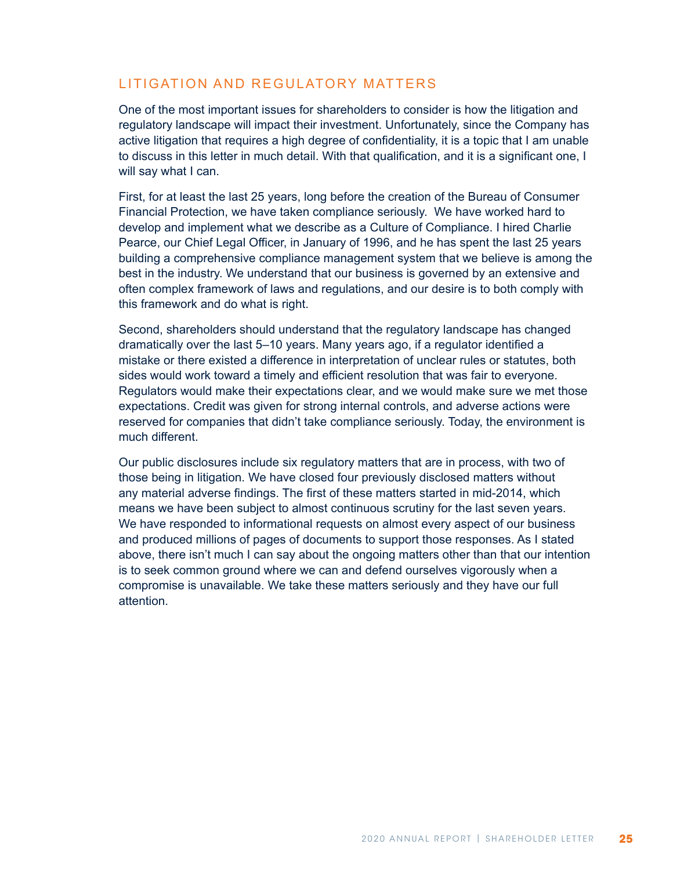## LITIGATION AND REGULATORY MATTERS

One of the most important issues for shareholders to consider is how the litigation and regulatory landscape will impact their investment. Unfortunately, since the Company has active litigation that requires a high degree of confidentiality, it is a topic that I am unable to discuss in this letter in much detail. With that qualification, and it is a significant one, I will say what I can.

First, for at least the last 25 years, long before the creation of the Bureau of Consumer Financial Protection, we have taken compliance seriously. We have worked hard to develop and implement what we describe as a Culture of Compliance. I hired Charlie Pearce, our Chief Legal Officer, in January of 1996, and he has spent the last 25 years building a comprehensive compliance management system that we believe is among the best in the industry. We understand that our business is governed by an extensive and often complex framework of laws and regulations, and our desire is to both comply with this framework and do what is right.

Second, shareholders should understand that the regulatory landscape has changed dramatically over the last 5–10 years. Many years ago, if a regulator identified a mistake or there existed a difference in interpretation of unclear rules or statutes, both sides would work toward a timely and efficient resolution that was fair to everyone. Regulators would make their expectations clear, and we would make sure we met those expectations. Credit was given for strong internal controls, and adverse actions were reserved for companies that didn't take compliance seriously. Today, the environment is much different.

Our public disclosures include six regulatory matters that are in process, with two of those being in litigation. We have closed four previously disclosed matters without any material adverse findings. The first of these matters started in mid-2014, which means we have been subject to almost continuous scrutiny for the last seven years. We have responded to informational requests on almost every aspect of our business and produced millions of pages of documents to support those responses. As I stated above, there isn't much I can say about the ongoing matters other than that our intention is to seek common ground where we can and defend ourselves vigorously when a compromise is unavailable. We take these matters seriously and they have our full attention.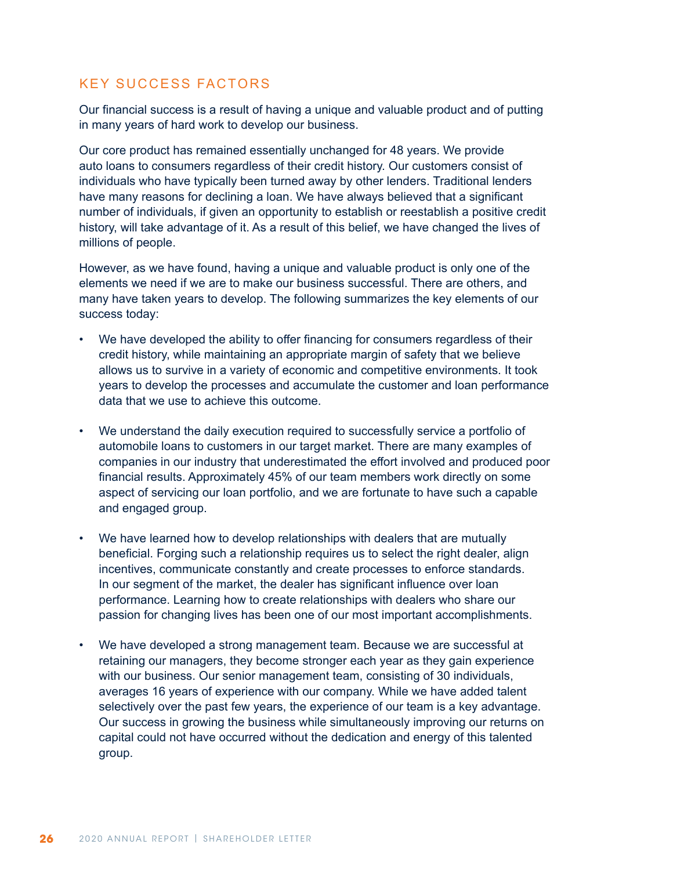## KEY SUCCESS FACTORS

Our financial success is a result of having a unique and valuable product and of putting in many years of hard work to develop our business.

Our core product has remained essentially unchanged for 48 years. We provide auto loans to consumers regardless of their credit history. Our customers consist of individuals who have typically been turned away by other lenders. Traditional lenders have many reasons for declining a loan. We have always believed that a significant number of individuals, if given an opportunity to establish or reestablish a positive credit history, will take advantage of it. As a result of this belief, we have changed the lives of millions of people.

However, as we have found, having a unique and valuable product is only one of the elements we need if we are to make our business successful. There are others, and many have taken years to develop. The following summarizes the key elements of our success today:

- We have developed the ability to offer financing for consumers regardless of their credit history, while maintaining an appropriate margin of safety that we believe allows us to survive in a variety of economic and competitive environments. It took years to develop the processes and accumulate the customer and loan performance data that we use to achieve this outcome.
- We understand the daily execution required to successfully service a portfolio of automobile loans to customers in our target market. There are many examples of companies in our industry that underestimated the effort involved and produced poor financial results. Approximately 45% of our team members work directly on some aspect of servicing our loan portfolio, and we are fortunate to have such a capable and engaged group.
- We have learned how to develop relationships with dealers that are mutually beneficial. Forging such a relationship requires us to select the right dealer, align incentives, communicate constantly and create processes to enforce standards. In our segment of the market, the dealer has significant influence over loan performance. Learning how to create relationships with dealers who share our passion for changing lives has been one of our most important accomplishments.
- We have developed a strong management team. Because we are successful at retaining our managers, they become stronger each year as they gain experience with our business. Our senior management team, consisting of 30 individuals, averages 16 years of experience with our company. While we have added talent selectively over the past few years, the experience of our team is a key advantage. Our success in growing the business while simultaneously improving our returns on capital could not have occurred without the dedication and energy of this talented group.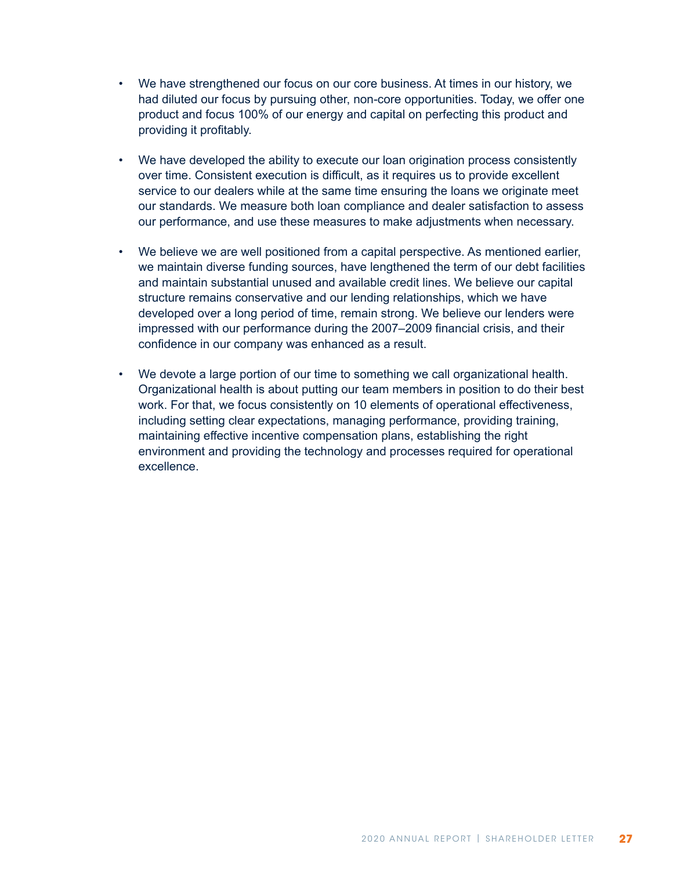- We have strengthened our focus on our core business. At times in our history, we had diluted our focus by pursuing other, non-core opportunities. Today, we offer one product and focus 100% of our energy and capital on perfecting this product and providing it profitably.
- We have developed the ability to execute our loan origination process consistently over time. Consistent execution is difficult, as it requires us to provide excellent service to our dealers while at the same time ensuring the loans we originate meet our standards. We measure both loan compliance and dealer satisfaction to assess our performance, and use these measures to make adjustments when necessary.
- We believe we are well positioned from a capital perspective. As mentioned earlier, we maintain diverse funding sources, have lengthened the term of our debt facilities and maintain substantial unused and available credit lines. We believe our capital structure remains conservative and our lending relationships, which we have developed over a long period of time, remain strong. We believe our lenders were impressed with our performance during the 2007–2009 financial crisis, and their confidence in our company was enhanced as a result.
- We devote a large portion of our time to something we call organizational health. Organizational health is about putting our team members in position to do their best work. For that, we focus consistently on 10 elements of operational effectiveness, including setting clear expectations, managing performance, providing training, maintaining effective incentive compensation plans, establishing the right environment and providing the technology and processes required for operational excellence.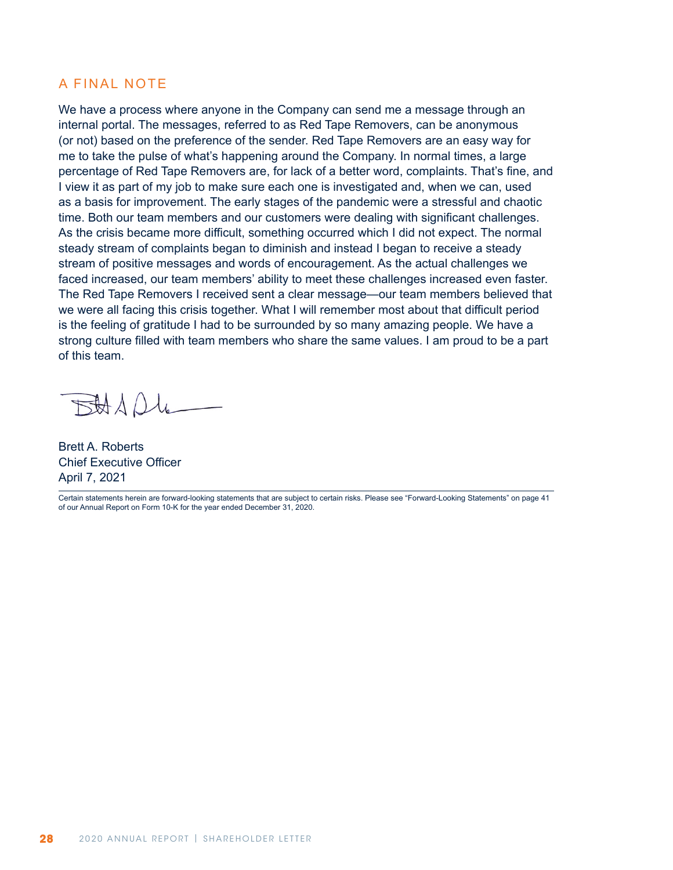### A FINAL NOTE

We have a process where anyone in the Company can send me a message through an internal portal. The messages, referred to as Red Tape Removers, can be anonymous (or not) based on the preference of the sender. Red Tape Removers are an easy way for me to take the pulse of what's happening around the Company. In normal times, a large percentage of Red Tape Removers are, for lack of a better word, complaints. That's fine, and I view it as part of my job to make sure each one is investigated and, when we can, used as a basis for improvement. The early stages of the pandemic were a stressful and chaotic time. Both our team members and our customers were dealing with significant challenges. As the crisis became more difficult, something occurred which I did not expect. The normal steady stream of complaints began to diminish and instead I began to receive a steady stream of positive messages and words of encouragement. As the actual challenges we faced increased, our team members' ability to meet these challenges increased even faster. The Red Tape Removers I received sent a clear message—our team members believed that we were all facing this crisis together. What I will remember most about that difficult period is the feeling of gratitude I had to be surrounded by so many amazing people. We have a strong culture filled with team members who share the same values. I am proud to be a part of this team.

 $BAAOL$ 

Brett A. Roberts Chief Executive Officer April 7, 2021

Certain statements herein are forward-looking statements that are subject to certain risks. Please see "Forward-Looking Statements" on page 41 of our Annual Report on Form 10-K for the year ended December 31, 2020.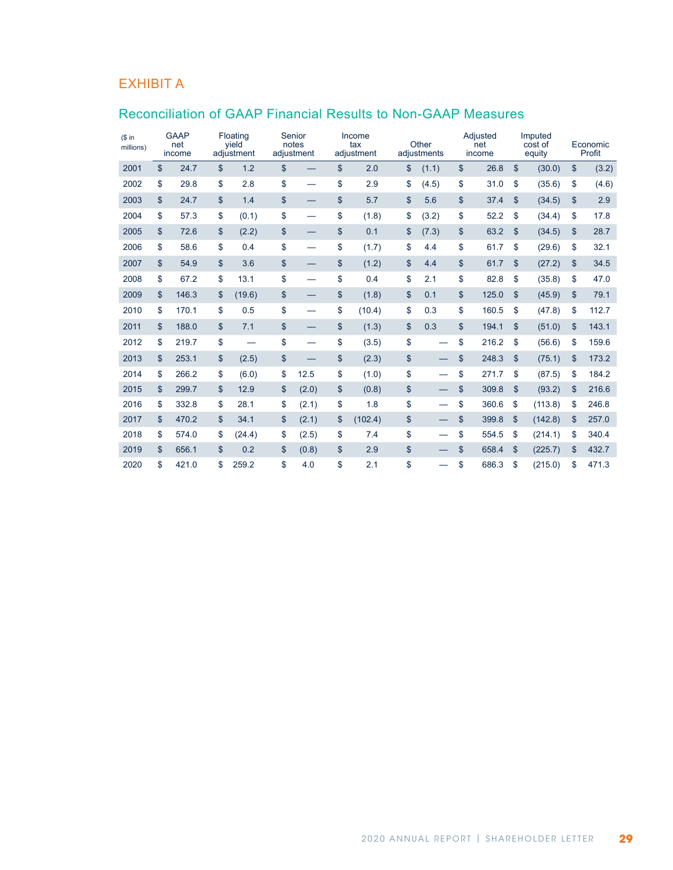# EXHIBIT A

## Reconciliation of GAAP Financial Results to Non-GAAP Measures

| $$$ in<br>millions) | <b>GAAP</b><br>net<br>income |                | Floating<br>yield<br>adjustment | notes | Senior<br>adjustment |                | Income<br>tax<br>adjustment | Other<br>adjustments           | Adjusted<br>net<br>income |               | Imputed<br>cost of<br>equity |                | Economic<br>Profit |
|---------------------|------------------------------|----------------|---------------------------------|-------|----------------------|----------------|-----------------------------|--------------------------------|---------------------------|---------------|------------------------------|----------------|--------------------|
| 2001                | \$<br>24.7                   | \$             | 1.2                             | \$    |                      | \$             | 2.0                         | \$<br>(1.1)                    | \$<br>26.8                | \$            | (30.0)                       | \$             | (3.2)              |
| 2002                | \$<br>29.8                   | \$             | 2.8                             | \$    |                      | \$             | 2.9                         | \$<br>(4.5)                    | \$<br>31.0                | \$            | (35.6)                       | \$             | (4.6)              |
| 2003                | \$<br>24.7                   | \$             | 1.4                             | \$    |                      | \$             | 5.7                         | \$<br>5.6                      | \$<br>37.4                | \$            | (34.5)                       | \$             | 2.9                |
| 2004                | \$<br>57.3                   | \$             | (0.1)                           | \$    |                      | \$             | (1.8)                       | \$<br>(3.2)                    | \$<br>52.2                | \$            | (34.4)                       | \$             | 17.8               |
| 2005                | \$<br>72.6                   | $\mathfrak{s}$ | (2.2)                           | \$    |                      | \$             | 0.1                         | \$<br>(7.3)                    | \$<br>63.2                | \$            | (34.5)                       | $\mathfrak{S}$ | 28.7               |
| 2006                | \$<br>58.6                   | \$             | 0.4                             | \$    |                      | \$             | (1.7)                       | \$<br>4.4                      | \$<br>61.7                | \$            | (29.6)                       | \$             | 32.1               |
| 2007                | \$<br>54.9                   | \$             | 3.6                             | \$    |                      | \$             | (1.2)                       | \$<br>4.4                      | \$<br>61.7                | \$            | (27.2)                       | \$             | 34.5               |
| 2008                | \$<br>67.2                   | \$             | 13.1                            | \$    |                      | \$             | 0.4                         | \$<br>2.1                      | \$<br>82.8                | \$            | (35.8)                       | \$             | 47.0               |
| 2009                | \$<br>146.3                  | \$             | (19.6)                          | \$    |                      | \$             | (1.8)                       | \$<br>0.1                      | \$<br>125.0               | \$            | (45.9)                       | \$             | 79.1               |
| 2010                | \$<br>170.1                  | \$             | 0.5                             | \$    |                      | \$             | (10.4)                      | \$<br>0.3                      | \$<br>160.5               | \$            | (47.8)                       | \$             | 112.7              |
| 2011                | \$<br>188.0                  | \$             | 7.1                             | \$    |                      | \$             | (1.3)                       | \$<br>0.3                      | \$<br>194.1               | \$            | (51.0)                       | \$             | 143.1              |
| 2012                | \$<br>219.7                  | \$             |                                 | \$    |                      | \$             | (3.5)                       | \$<br>$\overline{\phantom{0}}$ | \$<br>216.2               | \$            | (56.6)                       | \$             | 159.6              |
| 2013                | \$<br>253.1                  | \$             | (2.5)                           | \$    |                      | \$             | (2.3)                       | \$<br>$\overline{\phantom{0}}$ | \$<br>248.3               | \$            | (75.1)                       | \$             | 173.2              |
| 2014                | \$<br>266.2                  | \$             | (6.0)                           | \$    | 12.5                 | \$             | (1.0)                       | \$<br>$\overline{\phantom{0}}$ | \$<br>271.7               | \$            | (87.5)                       | \$             | 184.2              |
| 2015                | \$<br>299.7                  | \$             | 12.9                            | \$    | (2.0)                | \$             | (0.8)                       | \$                             | \$<br>309.8               | \$            | (93.2)                       | \$             | 216.6              |
| 2016                | \$<br>332.8                  | \$             | 28.1                            | \$    | (2.1)                | \$             | 1.8                         | \$<br>$\overline{\phantom{0}}$ | \$<br>360.6               | \$            | (113.8)                      | \$             | 246.8              |
| 2017                | \$<br>470.2                  | $\mathfrak{s}$ | 34.1                            | \$    | (2.1)                | $\mathfrak{s}$ | (102.4)                     | \$                             | \$<br>399.8               | $\mathsf{\$}$ | (142.8)                      | \$             | 257.0              |
| 2018                | \$<br>574.0                  | \$             | (24.4)                          | \$    | (2.5)                | \$             | 7.4                         | \$                             | \$<br>554.5               | \$            | (214.1)                      | \$             | 340.4              |
| 2019                | \$<br>656.1                  | \$             | 0.2                             | \$    | (0.8)                | \$             | 2.9                         | \$                             | \$<br>658.4               | \$            | (225.7)                      | \$             | 432.7              |
| 2020                | \$<br>421.0                  | \$             | 259.2                           | \$    | 4.0                  | \$             | 2.1                         | \$                             | \$<br>686.3               | \$            | (215.0)                      | \$             | 471.3              |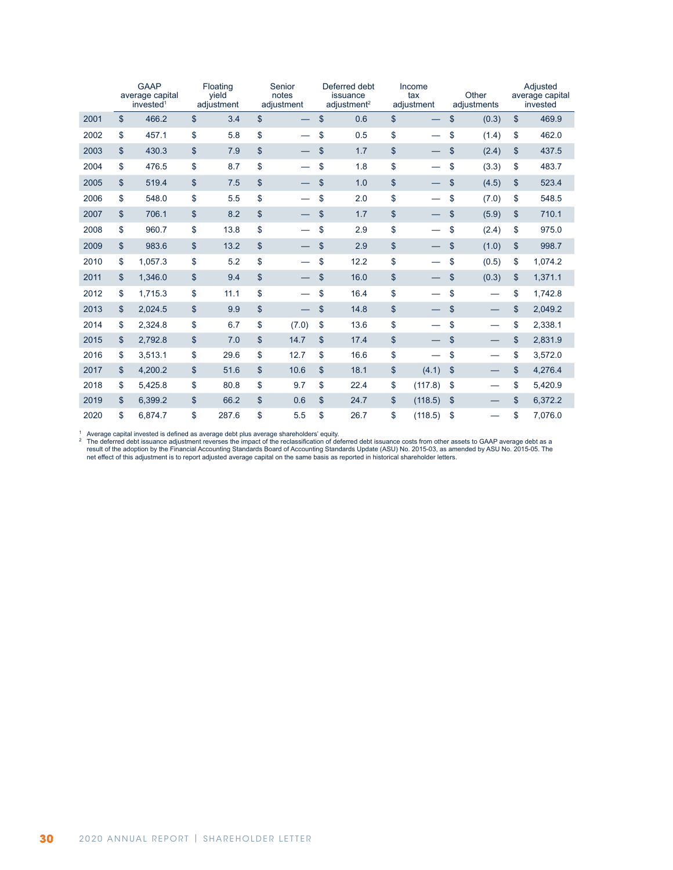|      |                | <b>GAAP</b><br>average capital<br>invested <sup>1</sup> |                | Floating<br>yield<br>adjustment | Senior<br>notes<br>adjustment  | Deferred debt<br>issuance<br>adjustment <sup>2</sup> | Income<br>tax<br>adjustment |               | Other<br>adjustments | Adjusted<br>average capital<br>invested |
|------|----------------|---------------------------------------------------------|----------------|---------------------------------|--------------------------------|------------------------------------------------------|-----------------------------|---------------|----------------------|-----------------------------------------|
| 2001 | \$             | 466.2                                                   | $\mathsf{\$}$  | 3.4                             | \$                             | \$<br>0.6                                            | \$                          | \$            | (0.3)                | \$<br>469.9                             |
| 2002 | \$             | 457.1                                                   | \$             | 5.8                             | \$                             | \$<br>0.5                                            | \$                          | \$            | (1.4)                | \$<br>462.0                             |
| 2003 | \$             | 430.3                                                   | $\mathbf{\$}$  | 7.9                             | \$                             | \$<br>1.7                                            | \$                          | \$            | (2.4)                | \$<br>437.5                             |
| 2004 | \$             | 476.5                                                   | \$             | 8.7                             | \$                             | \$<br>1.8                                            | \$                          | \$            | (3.3)                | \$<br>483.7                             |
| 2005 | \$             | 519.4                                                   | $\mathsf{\$}$  | 7.5                             | \$                             | \$<br>1.0                                            | \$                          | \$            | (4.5)                | \$<br>523.4                             |
| 2006 | \$             | 548.0                                                   | \$             | 5.5                             | \$                             | \$<br>2.0                                            | \$                          | \$            | (7.0)                | \$<br>548.5                             |
| 2007 | \$             | 706.1                                                   | \$             | 8.2                             | \$                             | \$<br>1.7                                            | \$                          | \$            | (5.9)                | \$<br>710.1                             |
| 2008 | \$             | 960.7                                                   | \$             | 13.8                            | \$<br>$\overline{\phantom{0}}$ | \$<br>2.9                                            | \$                          | \$            | (2.4)                | \$<br>975.0                             |
| 2009 | \$             | 983.6                                                   | \$             | 13.2                            | \$                             | \$<br>2.9                                            | \$                          | \$            | (1.0)                | \$<br>998.7                             |
| 2010 | \$             | 1,057.3                                                 | \$             | 5.2                             | \$<br>$\overline{\phantom{0}}$ | \$<br>12.2                                           | \$                          | \$            | (0.5)                | \$<br>1,074.2                           |
| 2011 | \$             | 1,346.0                                                 | $$\mathbb{S}$$ | 9.4                             | \$                             | \$<br>16.0                                           | \$                          | \$            | (0.3)                | \$<br>1,371.1                           |
| 2012 | \$             | 1,715.3                                                 | \$             | 11.1                            | \$<br>$\overline{\phantom{0}}$ | \$<br>16.4                                           | \$                          | \$            |                      | \$<br>1,742.8                           |
| 2013 | \$             | 2,024.5                                                 | $\mathsf{\$}$  | 9.9                             | \$                             | \$<br>14.8                                           | \$                          | \$            |                      | \$<br>2,049.2                           |
| 2014 | \$             | 2,324.8                                                 | \$             | 6.7                             | \$<br>(7.0)                    | \$<br>13.6                                           | \$                          | \$            |                      | \$<br>2,338.1                           |
| 2015 | \$             | 2,792.8                                                 | $\mathsf{\$}$  | 7.0                             | \$<br>14.7                     | \$<br>17.4                                           | \$                          | $\mathsf{\$}$ |                      | \$<br>2,831.9                           |
| 2016 | \$             | 3,513.1                                                 | \$             | 29.6                            | \$<br>12.7                     | \$<br>16.6                                           | \$                          | \$            |                      | \$<br>3,572.0                           |
| 2017 | $\mathfrak{s}$ | 4.200.2                                                 | $\mathbf{\$}$  | 51.6                            | \$<br>10.6                     | \$<br>18.1                                           | \$<br>(4.1)                 | \$            |                      | \$<br>4,276.4                           |
| 2018 | \$             | 5,425.8                                                 | \$             | 80.8                            | \$<br>9.7                      | \$<br>22.4                                           | \$<br>(117.8)               | \$            |                      | \$<br>5,420.9                           |
| 2019 | \$             | 6,399.2                                                 | \$             | 66.2                            | \$<br>0.6                      | \$<br>24.7                                           | \$<br>(118.5)               | \$            |                      | \$<br>6,372.2                           |
| 2020 | \$             | 6.874.7                                                 | \$             | 287.6                           | \$<br>5.5                      | \$<br>26.7                                           | \$<br>(118.5)               | \$            |                      | \$<br>7,076.0                           |

A Average capital invested is defined as average debt plus average shareholders' equity.<br>The deferred debt issuance adjustment reverses the impact of the reclassification of deferred debt issuance costs from other assets t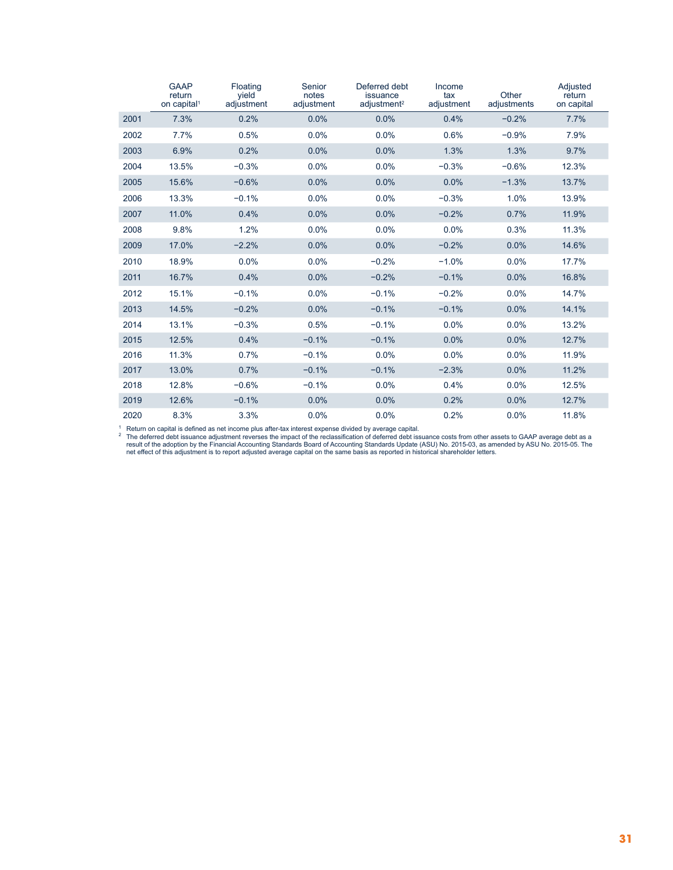|      | <b>GAAP</b><br>return<br>on capital <sup>1</sup> | Floating<br>vield<br>adjustment | Senior<br>notes<br>adjustment | Deferred debt<br>issuance<br>adjustment <sup>2</sup> | Income<br>tax<br>adjustment | Other<br>adjustments | Adjusted<br>return<br>on capital |
|------|--------------------------------------------------|---------------------------------|-------------------------------|------------------------------------------------------|-----------------------------|----------------------|----------------------------------|
| 2001 | 7.3%                                             | 0.2%                            | 0.0%                          | 0.0%                                                 | 0.4%                        | $-0.2%$              | 7.7%                             |
| 2002 | 7.7%                                             | 0.5%                            | 0.0%                          | 0.0%                                                 | 0.6%                        | $-0.9%$              | 7.9%                             |
| 2003 | 6.9%                                             | 0.2%                            | 0.0%                          | 0.0%                                                 | 1.3%                        | 1.3%                 | 9.7%                             |
| 2004 | 13.5%                                            | $-0.3%$                         | 0.0%                          | 0.0%                                                 | $-0.3%$                     | $-0.6%$              | 12.3%                            |
| 2005 | 15.6%                                            | $-0.6%$                         | 0.0%                          | 0.0%                                                 | 0.0%                        | $-1.3%$              | 13.7%                            |
| 2006 | 13.3%                                            | $-0.1%$                         | 0.0%                          | 0.0%                                                 | $-0.3%$                     | 1.0%                 | 13.9%                            |
| 2007 | 11.0%                                            | 0.4%                            | 0.0%                          | 0.0%                                                 | $-0.2%$                     | 0.7%                 | 11.9%                            |
| 2008 | 9.8%                                             | 1.2%                            | 0.0%                          | 0.0%                                                 | 0.0%                        | 0.3%                 | 11.3%                            |
| 2009 | 17.0%                                            | $-2.2%$                         | 0.0%                          | 0.0%                                                 | $-0.2%$                     | 0.0%                 | 14.6%                            |
| 2010 | 18.9%                                            | 0.0%                            | 0.0%                          | $-0.2%$                                              | $-1.0%$                     | 0.0%                 | 17.7%                            |
| 2011 | 16.7%                                            | 0.4%                            | 0.0%                          | $-0.2%$                                              | $-0.1%$                     | 0.0%                 | 16.8%                            |
| 2012 | 15.1%                                            | $-0.1%$                         | 0.0%                          | $-0.1%$                                              | $-0.2%$                     | 0.0%                 | 14.7%                            |
| 2013 | 14.5%                                            | $-0.2%$                         | 0.0%                          | $-0.1%$                                              | $-0.1%$                     | 0.0%                 | 14.1%                            |
| 2014 | 13.1%                                            | $-0.3%$                         | 0.5%                          | $-0.1%$                                              | 0.0%                        | 0.0%                 | 13.2%                            |
| 2015 | 12.5%                                            | 0.4%                            | $-0.1%$                       | $-0.1%$                                              | 0.0%                        | 0.0%                 | 12.7%                            |
| 2016 | 11.3%                                            | 0.7%                            | $-0.1%$                       | 0.0%                                                 | 0.0%                        | 0.0%                 | 11.9%                            |
| 2017 | 13.0%                                            | 0.7%                            | $-0.1%$                       | $-0.1%$                                              | $-2.3%$                     | 0.0%                 | 11.2%                            |
| 2018 | 12.8%                                            | $-0.6%$                         | $-0.1%$                       | 0.0%                                                 | 0.4%                        | 0.0%                 | 12.5%                            |
| 2019 | 12.6%                                            | $-0.1%$                         | 0.0%                          | 0.0%                                                 | 0.2%                        | 0.0%                 | 12.7%                            |
| 2020 | 8.3%                                             | 3.3%                            | 0.0%                          | 0.0%                                                 | 0.2%                        | 0.0%                 | 11.8%                            |

<sup>1</sup> Return on capital is defined as net income plus after-tax interest expense divided by average capital.<br><sup>2</sup> The deferred debt issuance adjustment reverses the impact of the reclassification of deferred oebt from other